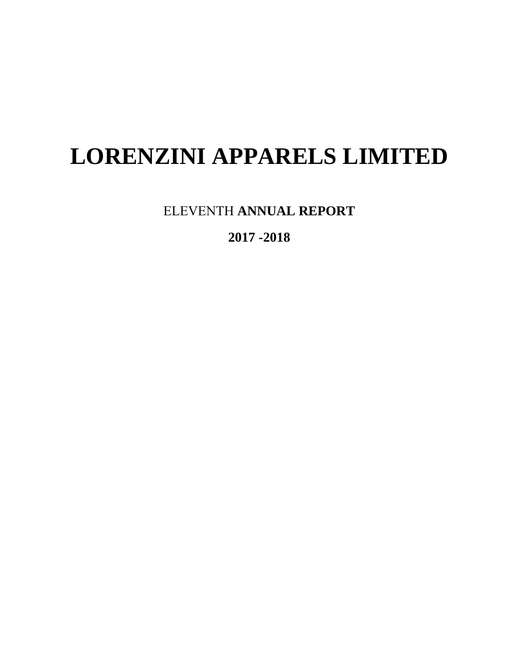# **LORENZINI APPARELS LIMITED**

ELEVENTH **ANNUAL REPORT** 

**2017 -2018**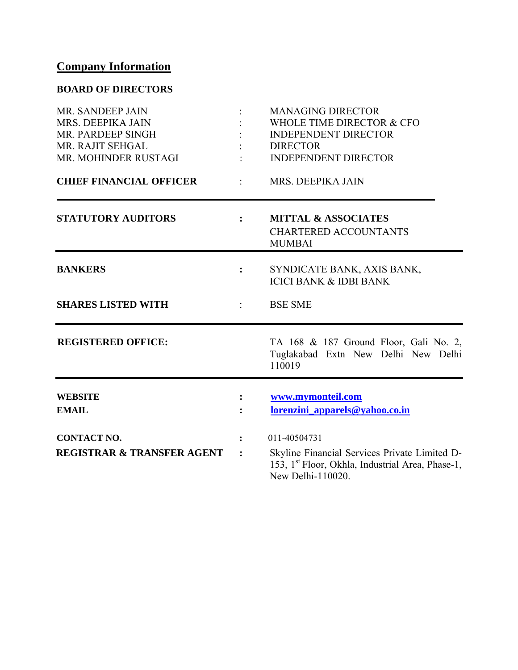## **Company Information**

## **BOARD OF DIRECTORS**

| MR. SANDEEP JAIN<br>MRS. DEEPIKA JAIN<br>MR. PARDEEP SINGH<br>MR. RAJIT SEHGAL<br>MR. MOHINDER RUSTAGI |                      | <b>MANAGING DIRECTOR</b><br>WHOLE TIME DIRECTOR & CFO<br><b>INDEPENDENT DIRECTOR</b><br><b>DIRECTOR</b><br><b>INDEPENDENT DIRECTOR</b>             |
|--------------------------------------------------------------------------------------------------------|----------------------|----------------------------------------------------------------------------------------------------------------------------------------------------|
| <b>CHIEF FINANCIAL OFFICER</b>                                                                         |                      | MRS. DEEPIKA JAIN                                                                                                                                  |
| <b>STATUTORY AUDITORS</b>                                                                              | $\ddot{\phantom{a}}$ | <b>MITTAL &amp; ASSOCIATES</b><br><b>CHARTERED ACCOUNTANTS</b><br><b>MUMBAI</b>                                                                    |
| <b>BANKERS</b>                                                                                         | $\ddot{\cdot}$       | SYNDICATE BANK, AXIS BANK,<br><b>ICICI BANK &amp; IDBI BANK</b>                                                                                    |
| <b>SHARES LISTED WITH</b>                                                                              |                      | <b>BSE SME</b>                                                                                                                                     |
| <b>REGISTERED OFFICE:</b>                                                                              |                      | TA 168 & 187 Ground Floor, Gali No. 2,<br>Tuglakabad Extn New Delhi New Delhi<br>110019                                                            |
| <b>WEBSITE</b><br><b>EMAIL</b>                                                                         | $\ddot{\cdot}$       | www.mymonteil.com<br>lorenzini_apparels@yahoo.co.in                                                                                                |
| <b>CONTACT NO.</b><br><b>REGISTRAR &amp; TRANSFER AGENT</b>                                            |                      | 011-40504731<br>Skyline Financial Services Private Limited D-<br>153, 1 <sup>st</sup> Floor, Okhla, Industrial Area, Phase-1,<br>New Delhi-110020. |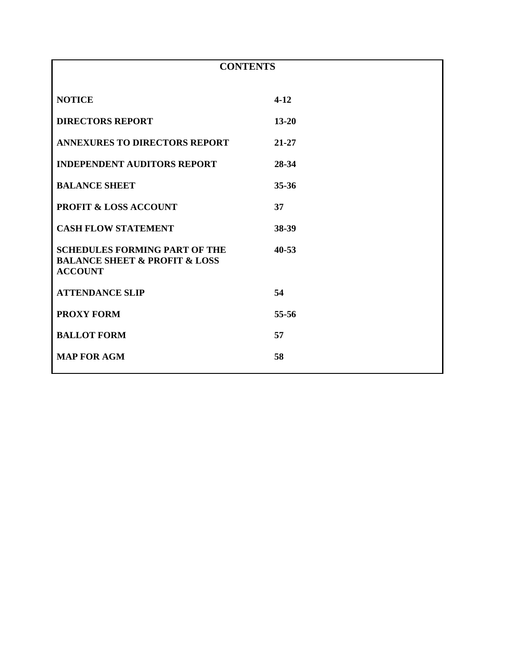| <b>CONTENTS</b>                                                                                        |           |  |
|--------------------------------------------------------------------------------------------------------|-----------|--|
| <b>NOTICE</b>                                                                                          | $4 - 12$  |  |
| <b>DIRECTORS REPORT</b>                                                                                | $13 - 20$ |  |
| <b>ANNEXURES TO DIRECTORS REPORT</b>                                                                   | $21 - 27$ |  |
| <b>INDEPENDENT AUDITORS REPORT</b>                                                                     | 28-34     |  |
| <b>BALANCE SHEET</b>                                                                                   | 35-36     |  |
| <b>PROFIT &amp; LOSS ACCOUNT</b>                                                                       | 37        |  |
| <b>CASH FLOW STATEMENT</b>                                                                             | 38-39     |  |
| <b>SCHEDULES FORMING PART OF THE</b><br><b>BALANCE SHEET &amp; PROFIT &amp; LOSS</b><br><b>ACCOUNT</b> | $40 - 53$ |  |
| <b>ATTENDANCE SLIP</b>                                                                                 | 54        |  |
| <b>PROXY FORM</b>                                                                                      | 55-56     |  |
| <b>BALLOT FORM</b>                                                                                     | 57        |  |
| <b>MAP FOR AGM</b>                                                                                     | 58        |  |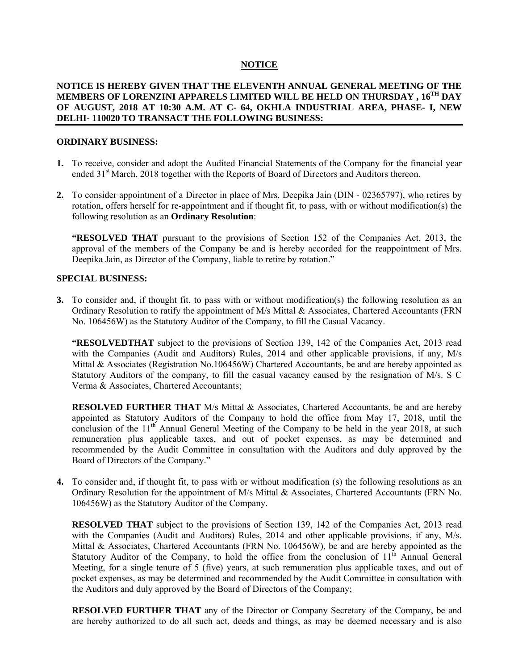## **NOTICE**

#### **NOTICE IS HEREBY GIVEN THAT THE ELEVENTH ANNUAL GENERAL MEETING OF THE MEMBERS OF LORENZINI APPARELS LIMITED WILL BE HELD ON THURSDAY , 16TH DAY OF AUGUST, 2018 AT 10:30 A.M. AT C- 64, OKHLA INDUSTRIAL AREA, PHASE- I, NEW DELHI- 110020 TO TRANSACT THE FOLLOWING BUSINESS:**

#### **ORDINARY BUSINESS:**

- **1.** To receive, consider and adopt the Audited Financial Statements of the Company for the financial year ended 31<sup>st</sup> March, 2018 together with the Reports of Board of Directors and Auditors thereon.
- **2.** To consider appointment of a Director in place of Mrs. Deepika Jain (DIN 02365797), who retires by rotation, offers herself for re-appointment and if thought fit, to pass, with or without modification(s) the following resolution as an **Ordinary Resolution**:

**"RESOLVED THAT** pursuant to the provisions of Section 152 of the Companies Act, 2013, the approval of the members of the Company be and is hereby accorded for the reappointment of Mrs. Deepika Jain, as Director of the Company, liable to retire by rotation."

#### **SPECIAL BUSINESS:**

**3.** To consider and, if thought fit, to pass with or without modification(s) the following resolution as an Ordinary Resolution to ratify the appointment of M/s Mittal & Associates, Chartered Accountants (FRN No. 106456W) as the Statutory Auditor of the Company, to fill the Casual Vacancy.

**"RESOLVEDTHAT** subject to the provisions of Section 139, 142 of the Companies Act, 2013 read with the Companies (Audit and Auditors) Rules, 2014 and other applicable provisions, if any, M/s Mittal & Associates (Registration No.106456W) Chartered Accountants, be and are hereby appointed as Statutory Auditors of the company, to fill the casual vacancy caused by the resignation of M/s. S C Verma & Associates, Chartered Accountants;

**RESOLVED FURTHER THAT** M/s Mittal & Associates, Chartered Accountants, be and are hereby appointed as Statutory Auditors of the Company to hold the office from May 17, 2018, until the conclusion of the 11<sup>th</sup> Annual General Meeting of the Company to be held in the year 2018, at such remuneration plus applicable taxes, and out of pocket expenses, as may be determined and recommended by the Audit Committee in consultation with the Auditors and duly approved by the Board of Directors of the Company."

**4.** To consider and, if thought fit, to pass with or without modification (s) the following resolutions as an Ordinary Resolution for the appointment of M/s Mittal & Associates, Chartered Accountants (FRN No. 106456W) as the Statutory Auditor of the Company.

**RESOLVED THAT** subject to the provisions of Section 139, 142 of the Companies Act, 2013 read with the Companies (Audit and Auditors) Rules, 2014 and other applicable provisions, if any, M/s. Mittal & Associates, Chartered Accountants (FRN No. 106456W), be and are hereby appointed as the Statutory Auditor of the Company, to hold the office from the conclusion of  $11<sup>th</sup>$  Annual General Meeting, for a single tenure of 5 (five) years, at such remuneration plus applicable taxes, and out of pocket expenses, as may be determined and recommended by the Audit Committee in consultation with the Auditors and duly approved by the Board of Directors of the Company;

**RESOLVED FURTHER THAT** any of the Director or Company Secretary of the Company, be and are hereby authorized to do all such act, deeds and things, as may be deemed necessary and is also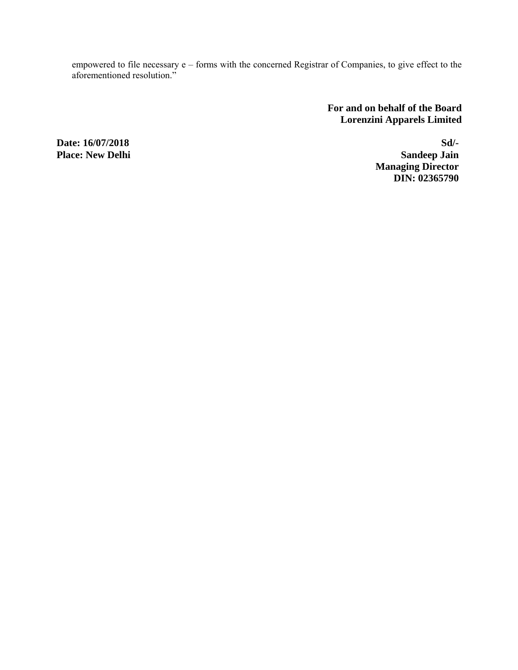empowered to file necessary e – forms with the concerned Registrar of Companies, to give effect to the aforementioned resolution."

> **For and on behalf of the Board Lorenzini Apparels Limited**

**Place: New Delhi** 

**Date: 16/07/2018** Sd/-<br> **Place: New Delhi**<br>
Sandeep Jain  **Managing Director DIN: 02365790**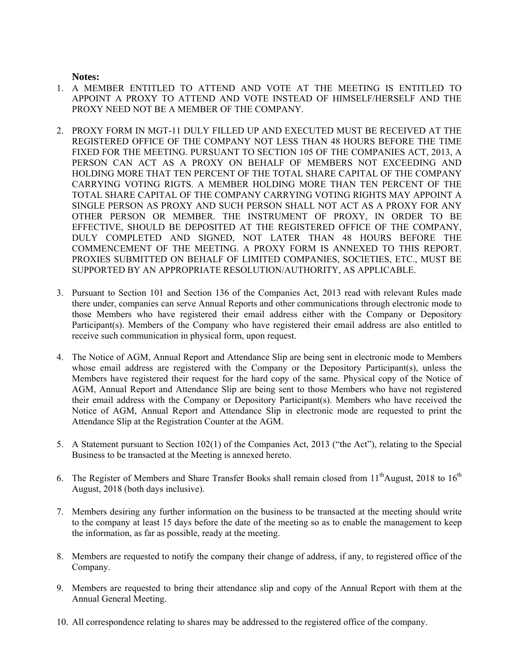**Notes:** 

- 1. A MEMBER ENTITLED TO ATTEND AND VOTE AT THE MEETING IS ENTITLED TO APPOINT A PROXY TO ATTEND AND VOTE INSTEAD OF HIMSELF/HERSELF AND THE PROXY NEED NOT BE A MEMBER OF THE COMPANY.
- 2. PROXY FORM IN MGT-11 DULY FILLED UP AND EXECUTED MUST BE RECEIVED AT THE REGISTERED OFFICE OF THE COMPANY NOT LESS THAN 48 HOURS BEFORE THE TIME FIXED FOR THE MEETING. PURSUANT TO SECTION 105 OF THE COMPANIES ACT, 2013, A PERSON CAN ACT AS A PROXY ON BEHALF OF MEMBERS NOT EXCEEDING AND HOLDING MORE THAT TEN PERCENT OF THE TOTAL SHARE CAPITAL OF THE COMPANY CARRYING VOTING RIGTS. A MEMBER HOLDING MORE THAN TEN PERCENT OF THE TOTAL SHARE CAPITAL OF THE COMPANY CARRYING VOTING RIGHTS MAY APPOINT A SINGLE PERSON AS PROXY AND SUCH PERSON SHALL NOT ACT AS A PROXY FOR ANY OTHER PERSON OR MEMBER. THE INSTRUMENT OF PROXY, IN ORDER TO BE EFFECTIVE, SHOULD BE DEPOSITED AT THE REGISTERED OFFICE OF THE COMPANY, DULY COMPLETED AND SIGNED, NOT LATER THAN 48 HOURS BEFORE THE COMMENCEMENT OF THE MEETING. A PROXY FORM IS ANNEXED TO THIS REPORT. PROXIES SUBMITTED ON BEHALF OF LIMITED COMPANIES, SOCIETIES, ETC., MUST BE SUPPORTED BY AN APPROPRIATE RESOLUTION/AUTHORITY, AS APPLICABLE.
- 3. Pursuant to Section 101 and Section 136 of the Companies Act, 2013 read with relevant Rules made there under, companies can serve Annual Reports and other communications through electronic mode to those Members who have registered their email address either with the Company or Depository Participant(s). Members of the Company who have registered their email address are also entitled to receive such communication in physical form, upon request.
- 4. The Notice of AGM, Annual Report and Attendance Slip are being sent in electronic mode to Members whose email address are registered with the Company or the Depository Participant(s), unless the Members have registered their request for the hard copy of the same. Physical copy of the Notice of AGM, Annual Report and Attendance Slip are being sent to those Members who have not registered their email address with the Company or Depository Participant(s). Members who have received the Notice of AGM, Annual Report and Attendance Slip in electronic mode are requested to print the Attendance Slip at the Registration Counter at the AGM.
- 5. A Statement pursuant to Section 102(1) of the Companies Act, 2013 ("the Act"), relating to the Special Business to be transacted at the Meeting is annexed hereto.
- 6. The Register of Members and Share Transfer Books shall remain closed from 11<sup>th</sup>August, 2018 to 16<sup>th</sup> August, 2018 (both days inclusive).
- 7. Members desiring any further information on the business to be transacted at the meeting should write to the company at least 15 days before the date of the meeting so as to enable the management to keep the information, as far as possible, ready at the meeting.
- 8. Members are requested to notify the company their change of address, if any, to registered office of the Company.
- 9. Members are requested to bring their attendance slip and copy of the Annual Report with them at the Annual General Meeting.
- 10. All correspondence relating to shares may be addressed to the registered office of the company.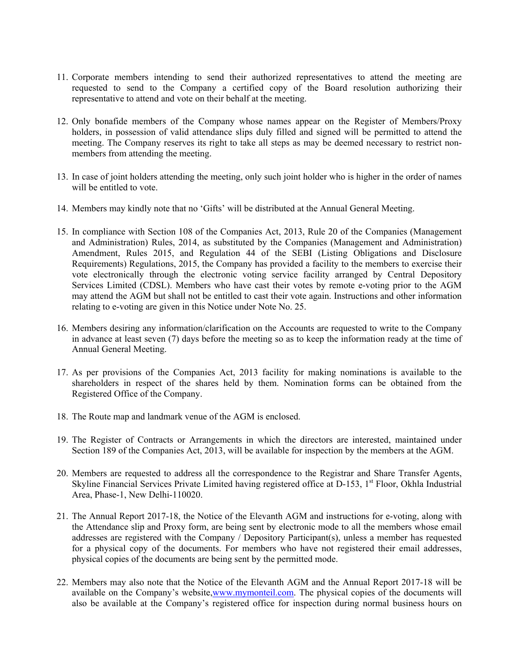- 11. Corporate members intending to send their authorized representatives to attend the meeting are requested to send to the Company a certified copy of the Board resolution authorizing their representative to attend and vote on their behalf at the meeting.
- 12. Only bonafide members of the Company whose names appear on the Register of Members/Proxy holders, in possession of valid attendance slips duly filled and signed will be permitted to attend the meeting. The Company reserves its right to take all steps as may be deemed necessary to restrict nonmembers from attending the meeting.
- 13. In case of joint holders attending the meeting, only such joint holder who is higher in the order of names will be entitled to vote.
- 14. Members may kindly note that no 'Gifts' will be distributed at the Annual General Meeting.
- 15. In compliance with Section 108 of the Companies Act, 2013, Rule 20 of the Companies (Management and Administration) Rules, 2014, as substituted by the Companies (Management and Administration) Amendment, Rules 2015, and Regulation 44 of the SEBI (Listing Obligations and Disclosure Requirements) Regulations, 2015, the Company has provided a facility to the members to exercise their vote electronically through the electronic voting service facility arranged by Central Depository Services Limited (CDSL). Members who have cast their votes by remote e-voting prior to the AGM may attend the AGM but shall not be entitled to cast their vote again. Instructions and other information relating to e-voting are given in this Notice under Note No. 25.
- 16. Members desiring any information/clarification on the Accounts are requested to write to the Company in advance at least seven (7) days before the meeting so as to keep the information ready at the time of Annual General Meeting.
- 17. As per provisions of the Companies Act, 2013 facility for making nominations is available to the shareholders in respect of the shares held by them. Nomination forms can be obtained from the Registered Office of the Company.
- 18. The Route map and landmark venue of the AGM is enclosed.
- 19. The Register of Contracts or Arrangements in which the directors are interested, maintained under Section 189 of the Companies Act, 2013, will be available for inspection by the members at the AGM.
- 20. Members are requested to address all the correspondence to the Registrar and Share Transfer Agents, Skyline Financial Services Private Limited having registered office at D-153, 1<sup>st</sup> Floor, Okhla Industrial Area, Phase-1, New Delhi-110020.
- 21. The Annual Report 2017-18, the Notice of the Elevanth AGM and instructions for e-voting, along with the Attendance slip and Proxy form, are being sent by electronic mode to all the members whose email addresses are registered with the Company / Depository Participant(s), unless a member has requested for a physical copy of the documents. For members who have not registered their email addresses, physical copies of the documents are being sent by the permitted mode.
- 22. Members may also note that the Notice of the Elevanth AGM and the Annual Report 2017-18 will be available on the Company's website,www.mymonteil.com. The physical copies of the documents will also be available at the Company's registered office for inspection during normal business hours on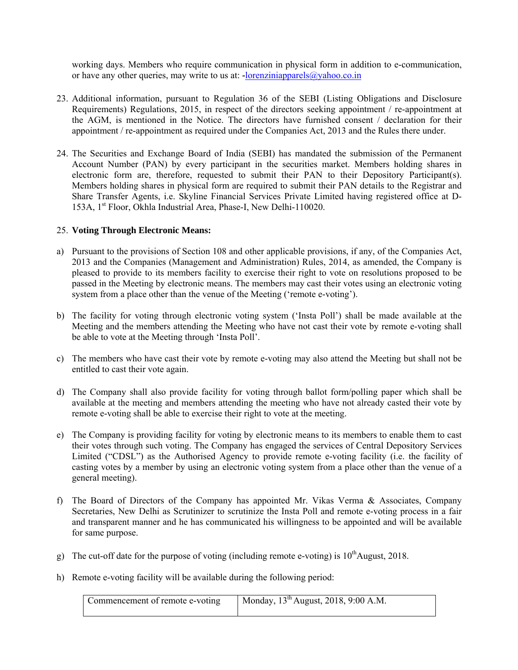working days. Members who require communication in physical form in addition to e-communication, or have any other queries, may write to us at: **-**lorenziniapparels@yahoo.co.in

- 23. Additional information, pursuant to Regulation 36 of the SEBI (Listing Obligations and Disclosure Requirements) Regulations, 2015, in respect of the directors seeking appointment / re-appointment at the AGM, is mentioned in the Notice. The directors have furnished consent / declaration for their appointment / re-appointment as required under the Companies Act, 2013 and the Rules there under.
- 24. The Securities and Exchange Board of India (SEBI) has mandated the submission of the Permanent Account Number (PAN) by every participant in the securities market. Members holding shares in electronic form are, therefore, requested to submit their PAN to their Depository Participant(s). Members holding shares in physical form are required to submit their PAN details to the Registrar and Share Transfer Agents, i.e. Skyline Financial Services Private Limited having registered office at D-153A, 1<sup>st</sup> Floor, Okhla Industrial Area, Phase-I, New Delhi-110020.

#### 25. **Voting Through Electronic Means:**

- a) Pursuant to the provisions of Section 108 and other applicable provisions, if any, of the Companies Act, 2013 and the Companies (Management and Administration) Rules, 2014, as amended, the Company is pleased to provide to its members facility to exercise their right to vote on resolutions proposed to be passed in the Meeting by electronic means. The members may cast their votes using an electronic voting system from a place other than the venue of the Meeting ('remote e-voting').
- b) The facility for voting through electronic voting system ('Insta Poll') shall be made available at the Meeting and the members attending the Meeting who have not cast their vote by remote e-voting shall be able to vote at the Meeting through 'Insta Poll'.
- c) The members who have cast their vote by remote e-voting may also attend the Meeting but shall not be entitled to cast their vote again.
- d) The Company shall also provide facility for voting through ballot form/polling paper which shall be available at the meeting and members attending the meeting who have not already casted their vote by remote e-voting shall be able to exercise their right to vote at the meeting.
- e) The Company is providing facility for voting by electronic means to its members to enable them to cast their votes through such voting. The Company has engaged the services of Central Depository Services Limited ("CDSL") as the Authorised Agency to provide remote e-voting facility (i.e. the facility of casting votes by a member by using an electronic voting system from a place other than the venue of a general meeting).
- f) The Board of Directors of the Company has appointed Mr. Vikas Verma & Associates, Company Secretaries, New Delhi as Scrutinizer to scrutinize the Insta Poll and remote e-voting process in a fair and transparent manner and he has communicated his willingness to be appointed and will be available for same purpose.
- g) The cut-off date for the purpose of voting (including remote e-voting) is  $10^{th}$ August, 2018.
- h) Remote e-voting facility will be available during the following period:

| Commencement of remote e-voting | Monday, $13^{th}$ August, 2018, 9:00 A.M. |
|---------------------------------|-------------------------------------------|
|                                 |                                           |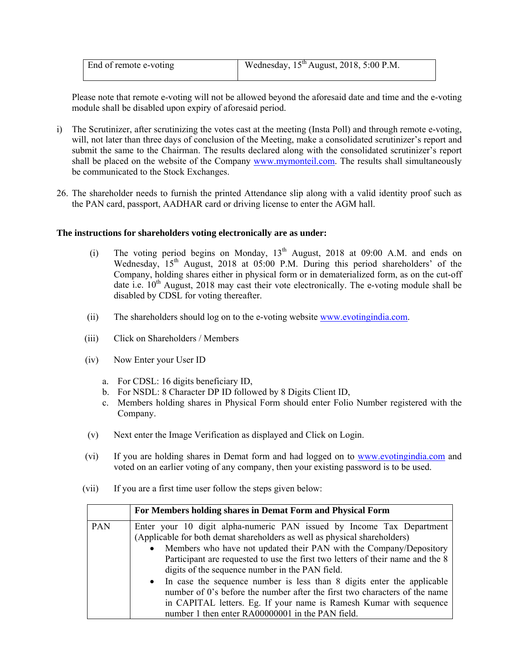| End of remote e-voting | Wednesday, $15^{th}$ August, 2018, 5:00 P.M. |
|------------------------|----------------------------------------------|
|                        |                                              |

 Please note that remote e-voting will not be allowed beyond the aforesaid date and time and the e-voting module shall be disabled upon expiry of aforesaid period.

- i) The Scrutinizer, after scrutinizing the votes cast at the meeting (Insta Poll) and through remote e-voting, will, not later than three days of conclusion of the Meeting, make a consolidated scrutinizer's report and submit the same to the Chairman. The results declared along with the consolidated scrutinizer's report shall be placed on the website of the Company www.mymonteil.com. The results shall simultaneously be communicated to the Stock Exchanges.
- 26. The shareholder needs to furnish the printed Attendance slip along with a valid identity proof such as the PAN card, passport, AADHAR card or driving license to enter the AGM hall.

#### **The instructions for shareholders voting electronically are as under:**

- (i) The voting period begins on Monday,  $13<sup>th</sup>$  August, 2018 at 09:00 A.M. and ends on Wednesday, 15<sup>th</sup> August, 2018 at 05:00 P.M. During this period shareholders' of the Company, holding shares either in physical form or in dematerialized form, as on the cut-off date i.e.  $10^{th}$  August, 2018 may cast their vote electronically. The e-voting module shall be disabled by CDSL for voting thereafter.
- (ii) The shareholders should log on to the e-voting website www.evotingindia.com.
- (iii) Click on Shareholders / Members
- (iv) Now Enter your User ID
	- a. For CDSL: 16 digits beneficiary ID,
	- b. For NSDL: 8 Character DP ID followed by 8 Digits Client ID,
	- c. Members holding shares in Physical Form should enter Folio Number registered with the Company.
- (v) Next enter the Image Verification as displayed and Click on Login.
- (vi) If you are holding shares in Demat form and had logged on to www.evotingindia.com and voted on an earlier voting of any company, then your existing password is to be used.
- (vii) If you are a first time user follow the steps given below:

|     | For Members holding shares in Demat Form and Physical Form                                                                                                                                                                                                                                                                                                                                                                                                                                                                                                                                      |
|-----|-------------------------------------------------------------------------------------------------------------------------------------------------------------------------------------------------------------------------------------------------------------------------------------------------------------------------------------------------------------------------------------------------------------------------------------------------------------------------------------------------------------------------------------------------------------------------------------------------|
| PAN | Enter your 10 digit alpha-numeric PAN issued by Income Tax Department<br>(Applicable for both demat shareholders as well as physical shareholders)<br>• Members who have not updated their PAN with the Company/Depository<br>Participant are requested to use the first two letters of their name and the 8<br>digits of the sequence number in the PAN field.<br>• In case the sequence number is less than 8 digits enter the applicable<br>number of 0's before the number after the first two characters of the name<br>in CAPITAL letters. Eg. If your name is Ramesh Kumar with sequence |
|     | number 1 then enter RA00000001 in the PAN field.                                                                                                                                                                                                                                                                                                                                                                                                                                                                                                                                                |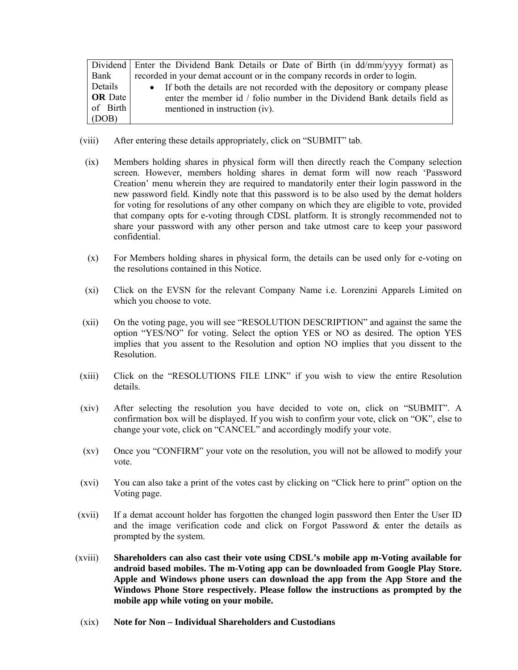|                | Dividend Enter the Dividend Bank Details or Date of Birth (in dd/mm/yyyy format) as |
|----------------|-------------------------------------------------------------------------------------|
| Bank           | recorded in your demat account or in the company records in order to login.         |
| Details        | • If both the details are not recorded with the depository or company please        |
| <b>OR</b> Date | enter the member id / folio number in the Dividend Bank details field as            |
| of Birth       | mentioned in instruction (iv).                                                      |
| (DOB)          |                                                                                     |

- (viii) After entering these details appropriately, click on "SUBMIT" tab.
- (ix) Members holding shares in physical form will then directly reach the Company selection screen. However, members holding shares in demat form will now reach 'Password Creation' menu wherein they are required to mandatorily enter their login password in the new password field. Kindly note that this password is to be also used by the demat holders for voting for resolutions of any other company on which they are eligible to vote, provided that company opts for e-voting through CDSL platform. It is strongly recommended not to share your password with any other person and take utmost care to keep your password confidential.
- (x) For Members holding shares in physical form, the details can be used only for e-voting on the resolutions contained in this Notice.
- (xi) Click on the EVSN for the relevant Company Name i.e. Lorenzini Apparels Limited on which you choose to vote.
- (xii) On the voting page, you will see "RESOLUTION DESCRIPTION" and against the same the option "YES/NO" for voting. Select the option YES or NO as desired. The option YES implies that you assent to the Resolution and option NO implies that you dissent to the Resolution.
- (xiii) Click on the "RESOLUTIONS FILE LINK" if you wish to view the entire Resolution details.
- (xiv) After selecting the resolution you have decided to vote on, click on "SUBMIT". A confirmation box will be displayed. If you wish to confirm your vote, click on "OK", else to change your vote, click on "CANCEL" and accordingly modify your vote.
- (xv) Once you "CONFIRM" your vote on the resolution, you will not be allowed to modify your vote.
- (xvi) You can also take a print of the votes cast by clicking on "Click here to print" option on the Voting page.
- (xvii) If a demat account holder has forgotten the changed login password then Enter the User ID and the image verification code and click on Forgot Password & enter the details as prompted by the system.
- (xviii) **Shareholders can also cast their vote using CDSL's mobile app m-Voting available for android based mobiles. The m-Voting app can be downloaded from Google Play Store. Apple and Windows phone users can download the app from the App Store and the Windows Phone Store respectively. Please follow the instructions as prompted by the mobile app while voting on your mobile.**
- (xix) **Note for Non Individual Shareholders and Custodians**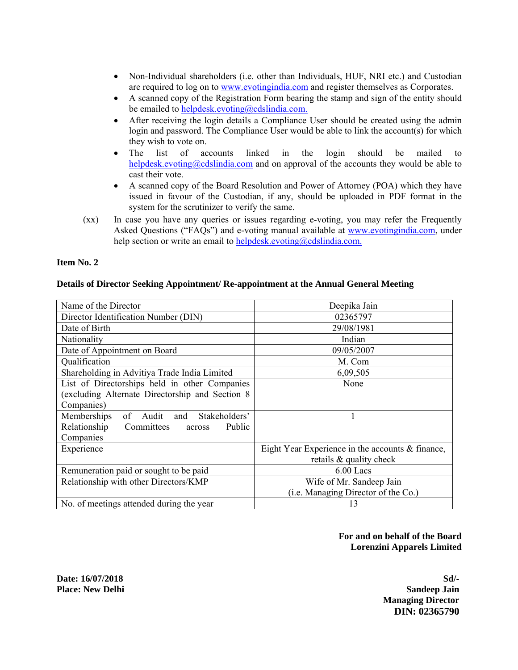- Non-Individual shareholders (i.e. other than Individuals, HUF, NRI etc.) and Custodian are required to log on to www.evotingindia.com and register themselves as Corporates.
- A scanned copy of the Registration Form bearing the stamp and sign of the entity should be emailed to helpdesk.evoting@cdslindia.com.
- After receiving the login details a Compliance User should be created using the admin login and password. The Compliance User would be able to link the account(s) for which they wish to vote on.
- The list of accounts linked in the login should be mailed to helpdesk.evoting@cdslindia.com and on approval of the accounts they would be able to cast their vote.
- A scanned copy of the Board Resolution and Power of Attorney (POA) which they have issued in favour of the Custodian, if any, should be uploaded in PDF format in the system for the scrutinizer to verify the same.
- (xx) In case you have any queries or issues regarding e-voting, you may refer the Frequently Asked Questions ("FAQs") and e-voting manual available at www.evotingindia.com, under help section or write an email to helpdesk.evoting@cdslindia.com.

#### **Item No. 2**

#### **Details of Director Seeking Appointment/ Re-appointment at the Annual General Meeting**

| Name of the Director                               | Deepika Jain                                       |  |  |
|----------------------------------------------------|----------------------------------------------------|--|--|
| Director Identification Number (DIN)               | 02365797                                           |  |  |
| Date of Birth                                      | 29/08/1981                                         |  |  |
| Nationality                                        | Indian                                             |  |  |
| Date of Appointment on Board                       | 09/05/2007                                         |  |  |
| Qualification                                      | M. Com                                             |  |  |
| Shareholding in Advitiya Trade India Limited       | 6,09,505                                           |  |  |
| List of Directorships held in other Companies      | None                                               |  |  |
| (excluding Alternate Directorship and Section 8)   |                                                    |  |  |
| Companies)                                         |                                                    |  |  |
| Memberships<br>of<br>Stakeholders'<br>Audit<br>and |                                                    |  |  |
| Relationship<br>Committees<br>Public<br>across     |                                                    |  |  |
| Companies                                          |                                                    |  |  |
| Experience                                         | Eight Year Experience in the accounts $&$ finance, |  |  |
|                                                    | retails & quality check                            |  |  |
| Remuneration paid or sought to be paid             | $6.00$ Lacs                                        |  |  |
| Relationship with other Directors/KMP              | Wife of Mr. Sandeep Jain                           |  |  |
|                                                    | (i.e. Managing Director of the Co.)                |  |  |
| No. of meetings attended during the year           | 13                                                 |  |  |

## **For and on behalf of the Board Lorenzini Apparels Limited**

**Date: 16/07/2018** Sd/-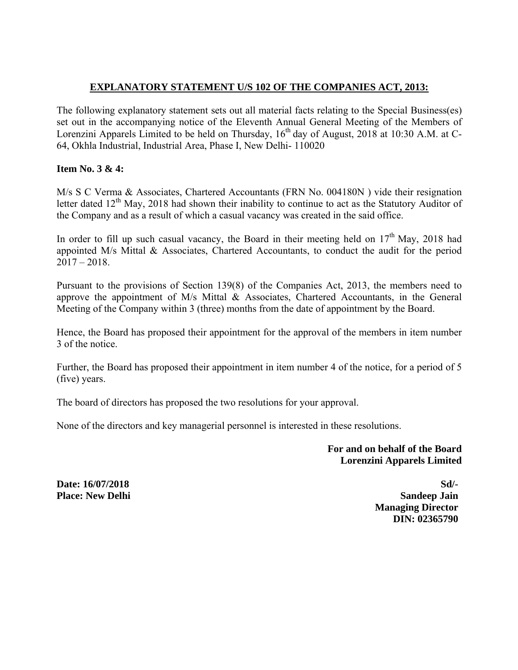## **EXPLANATORY STATEMENT U/S 102 OF THE COMPANIES ACT, 2013:**

The following explanatory statement sets out all material facts relating to the Special Business(es) set out in the accompanying notice of the Eleventh Annual General Meeting of the Members of Lorenzini Apparels Limited to be held on Thursday, 16<sup>th</sup> day of August, 2018 at 10:30 A.M. at C-64, Okhla Industrial, Industrial Area, Phase I, New Delhi- 110020

## **Item No. 3 & 4:**

M/s S C Verma & Associates, Chartered Accountants (FRN No. 004180N ) vide their resignation letter dated 12<sup>th</sup> May, 2018 had shown their inability to continue to act as the Statutory Auditor of the Company and as a result of which a casual vacancy was created in the said office.

In order to fill up such casual vacancy, the Board in their meeting held on  $17<sup>th</sup>$  May, 2018 had appointed M/s Mittal & Associates, Chartered Accountants, to conduct the audit for the period  $2017 - 2018$ .

Pursuant to the provisions of Section 139(8) of the Companies Act, 2013, the members need to approve the appointment of M/s Mittal & Associates, Chartered Accountants, in the General Meeting of the Company within 3 (three) months from the date of appointment by the Board.

Hence, the Board has proposed their appointment for the approval of the members in item number 3 of the notice.

Further, the Board has proposed their appointment in item number 4 of the notice, for a period of 5 (five) years.

The board of directors has proposed the two resolutions for your approval.

None of the directors and key managerial personnel is interested in these resolutions.

**For and on behalf of the Board Lorenzini Apparels Limited** 

**Date: 16/07/2018** Sd/-**Place:** New Delhi Sandeep Jain  **Managing Director DIN: 02365790**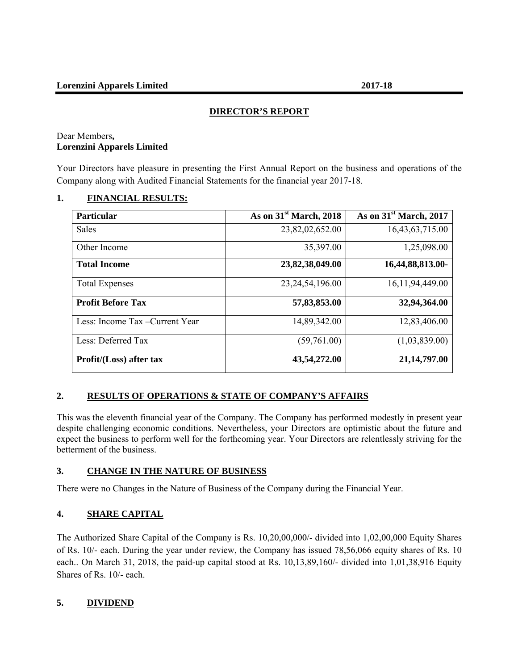## **DIRECTOR'S REPORT**

#### Dear Members**, Lorenzini Apparels Limited**

Your Directors have pleasure in presenting the First Annual Report on the business and operations of the Company along with Audited Financial Statements for the financial year 2017-18.

## **1. FINANCIAL RESULTS:**

| <b>Particular</b>               | As on $31st$ March, 2018 | As on $31st$ March, 2017 |
|---------------------------------|--------------------------|--------------------------|
| <b>Sales</b>                    | 23,82,02,652.00          | 16,43,63,715.00          |
| Other Income                    | 35,397.00                | 1,25,098.00              |
| <b>Total Income</b>             | 23,82,38,049.00          | 16,44,88,813.00-         |
| <b>Total Expenses</b>           | 23, 24, 54, 196.00       | 16, 11, 94, 449. 00      |
| <b>Profit Before Tax</b>        | 57,83,853.00             | 32,94,364.00             |
| Less: Income Tax – Current Year | 14,89,342.00             | 12,83,406.00             |
| Less: Deferred Tax              | (59,761.00)              | (1,03,839.00)            |
| Profit/(Loss) after tax         | 43,54,272.00             | 21,14,797.00             |

## **2. RESULTS OF OPERATIONS & STATE OF COMPANY'S AFFAIRS**

This was the eleventh financial year of the Company. The Company has performed modestly in present year despite challenging economic conditions. Nevertheless, your Directors are optimistic about the future and expect the business to perform well for the forthcoming year. Your Directors are relentlessly striving for the betterment of the business.

## **3. CHANGE IN THE NATURE OF BUSINESS**

There were no Changes in the Nature of Business of the Company during the Financial Year.

## **4. SHARE CAPITAL**

The Authorized Share Capital of the Company is Rs. 10,20,00,000/- divided into 1,02,00,000 Equity Shares of Rs. 10/- each. During the year under review, the Company has issued 78,56,066 equity shares of Rs. 10 each.. On March 31, 2018, the paid-up capital stood at Rs. 10,13,89,160/- divided into 1,01,38,916 Equity Shares of Rs. 10/- each.

## **5. DIVIDEND**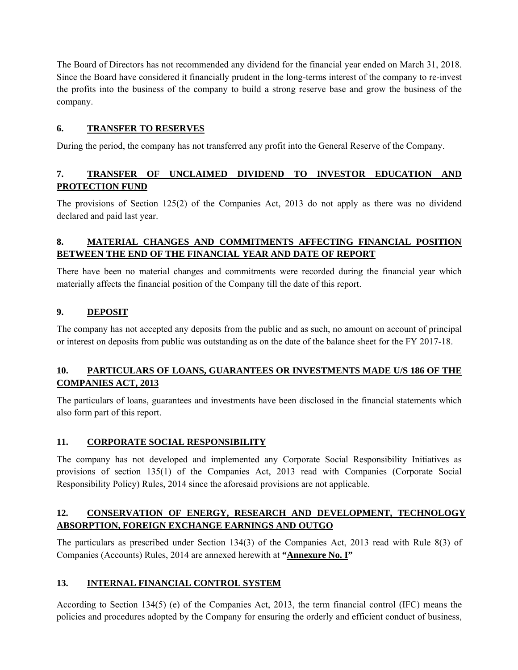The Board of Directors has not recommended any dividend for the financial year ended on March 31, 2018. Since the Board have considered it financially prudent in the long-terms interest of the company to re-invest the profits into the business of the company to build a strong reserve base and grow the business of the company.

## **6. TRANSFER TO RESERVES**

During the period, the company has not transferred any profit into the General Reserve of the Company.

## **7. TRANSFER OF UNCLAIMED DIVIDEND TO INVESTOR EDUCATION AND PROTECTION FUND**

The provisions of Section 125(2) of the Companies Act, 2013 do not apply as there was no dividend declared and paid last year.

## **8. MATERIAL CHANGES AND COMMITMENTS AFFECTING FINANCIAL POSITION BETWEEN THE END OF THE FINANCIAL YEAR AND DATE OF REPORT**

There have been no material changes and commitments were recorded during the financial year which materially affects the financial position of the Company till the date of this report.

## **9. DEPOSIT**

The company has not accepted any deposits from the public and as such, no amount on account of principal or interest on deposits from public was outstanding as on the date of the balance sheet for the FY 2017-18.

## **10. PARTICULARS OF LOANS, GUARANTEES OR INVESTMENTS MADE U/S 186 OF THE COMPANIES ACT, 2013**

The particulars of loans, guarantees and investments have been disclosed in the financial statements which also form part of this report.

## **11. CORPORATE SOCIAL RESPONSIBILITY**

The company has not developed and implemented any Corporate Social Responsibility Initiatives as provisions of section 135(1) of the Companies Act, 2013 read with Companies (Corporate Social Responsibility Policy) Rules, 2014 since the aforesaid provisions are not applicable.

## **12. CONSERVATION OF ENERGY, RESEARCH AND DEVELOPMENT, TECHNOLOGY ABSORPTION, FOREIGN EXCHANGE EARNINGS AND OUTGO**

The particulars as prescribed under Section 134(3) of the Companies Act, 2013 read with Rule 8(3) of Companies (Accounts) Rules, 2014 are annexed herewith at **"Annexure No. I"** 

## **13. INTERNAL FINANCIAL CONTROL SYSTEM**

According to Section 134(5) (e) of the Companies Act, 2013, the term financial control (IFC) means the policies and procedures adopted by the Company for ensuring the orderly and efficient conduct of business,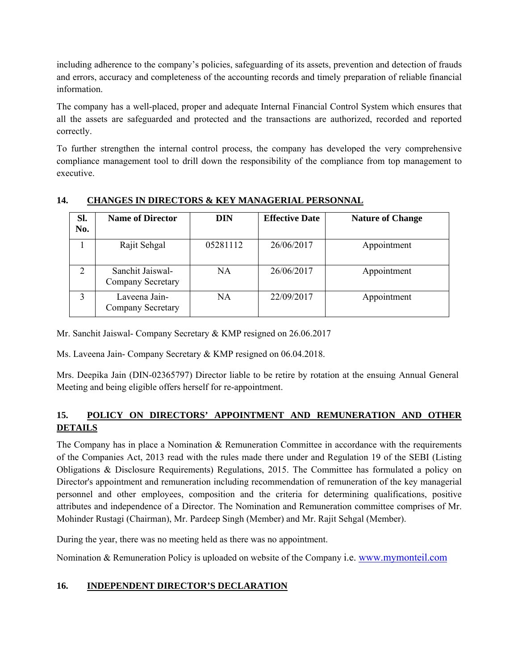including adherence to the company's policies, safeguarding of its assets, prevention and detection of frauds and errors, accuracy and completeness of the accounting records and timely preparation of reliable financial information.

The company has a well-placed, proper and adequate Internal Financial Control System which ensures that all the assets are safeguarded and protected and the transactions are authorized, recorded and reported correctly.

To further strengthen the internal control process, the company has developed the very comprehensive compliance management tool to drill down the responsibility of the compliance from top management to executive.

| SI.<br>No.     | <b>Name of Director</b>               | <b>DIN</b> | <b>Effective Date</b> | <b>Nature of Change</b> |
|----------------|---------------------------------------|------------|-----------------------|-------------------------|
|                | Rajit Sehgal                          | 05281112   | 26/06/2017            | Appointment             |
| $\mathfrak{D}$ | Sanchit Jaiswal-<br>Company Secretary | NA         | 26/06/2017            | Appointment             |
|                | Laveena Jain-<br>Company Secretary    | NA         | 22/09/2017            | Appointment             |

## **14. CHANGES IN DIRECTORS & KEY MANAGERIAL PERSONNAL**

Mr. Sanchit Jaiswal- Company Secretary & KMP resigned on 26.06.2017

Ms. Laveena Jain- Company Secretary & KMP resigned on 06.04.2018.

Mrs. Deepika Jain (DIN-02365797) Director liable to be retire by rotation at the ensuing Annual General Meeting and being eligible offers herself for re-appointment.

## **15. POLICY ON DIRECTORS' APPOINTMENT AND REMUNERATION AND OTHER DETAILS**

The Company has in place a Nomination & Remuneration Committee in accordance with the requirements of the Companies Act, 2013 read with the rules made there under and Regulation 19 of the SEBI (Listing Obligations & Disclosure Requirements) Regulations, 2015. The Committee has formulated a policy on Director's appointment and remuneration including recommendation of remuneration of the key managerial personnel and other employees, composition and the criteria for determining qualifications, positive attributes and independence of a Director. The Nomination and Remuneration committee comprises of Mr. Mohinder Rustagi (Chairman), Mr. Pardeep Singh (Member) and Mr. Rajit Sehgal (Member).

During the year, there was no meeting held as there was no appointment.

Nomination & Remuneration Policy is uploaded on website of the Company i.e. www.mymonteil.com

## **16. INDEPENDENT DIRECTOR'S DECLARATION**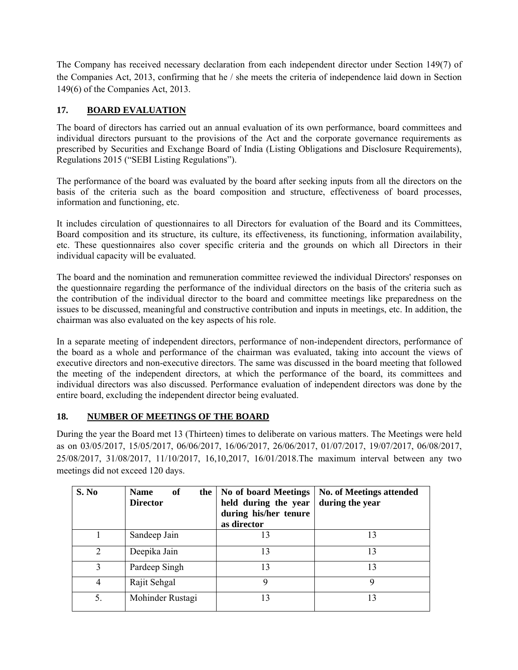The Company has received necessary declaration from each independent director under Section 149(7) of the Companies Act, 2013, confirming that he / she meets the criteria of independence laid down in Section 149(6) of the Companies Act, 2013.

## **17. BOARD EVALUATION**

The board of directors has carried out an annual evaluation of its own performance, board committees and individual directors pursuant to the provisions of the Act and the corporate governance requirements as prescribed by Securities and Exchange Board of India (Listing Obligations and Disclosure Requirements), Regulations 2015 ("SEBI Listing Regulations").

The performance of the board was evaluated by the board after seeking inputs from all the directors on the basis of the criteria such as the board composition and structure, effectiveness of board processes, information and functioning, etc.

It includes circulation of questionnaires to all Directors for evaluation of the Board and its Committees, Board composition and its structure, its culture, its effectiveness, its functioning, information availability, etc. These questionnaires also cover specific criteria and the grounds on which all Directors in their individual capacity will be evaluated.

The board and the nomination and remuneration committee reviewed the individual Directors' responses on the questionnaire regarding the performance of the individual directors on the basis of the criteria such as the contribution of the individual director to the board and committee meetings like preparedness on the issues to be discussed, meaningful and constructive contribution and inputs in meetings, etc. In addition, the chairman was also evaluated on the key aspects of his role.

In a separate meeting of independent directors, performance of non-independent directors, performance of the board as a whole and performance of the chairman was evaluated, taking into account the views of executive directors and non-executive directors. The same was discussed in the board meeting that followed the meeting of the independent directors, at which the performance of the board, its committees and individual directors was also discussed. Performance evaluation of independent directors was done by the entire board, excluding the independent director being evaluated.

## **18. NUMBER OF MEETINGS OF THE BOARD**

During the year the Board met 13 (Thirteen) times to deliberate on various matters. The Meetings were held as on 03/05/2017, 15/05/2017, 06/06/2017, 16/06/2017, 26/06/2017, 01/07/2017, 19/07/2017, 06/08/2017, 25/08/2017, 31/08/2017, 11/10/2017, 16,10,2017, 16/01/2018.The maximum interval between any two meetings did not exceed 120 days.

| S. No         | of<br><b>Name</b><br>the<br><b>Director</b> | No of board Meetings<br>held during the year<br>during his/her tenure<br>as director | <b>No. of Meetings attended</b><br>during the year |
|---------------|---------------------------------------------|--------------------------------------------------------------------------------------|----------------------------------------------------|
|               | Sandeep Jain                                | 13                                                                                   | 13                                                 |
| $\mathcal{L}$ | Deepika Jain                                | 13                                                                                   | 13                                                 |
| 3             | Pardeep Singh                               | 13                                                                                   | 13                                                 |
| 4             | Rajit Sehgal                                | 9                                                                                    | 9                                                  |
| 5.            | Mohinder Rustagi                            | 13                                                                                   | 13                                                 |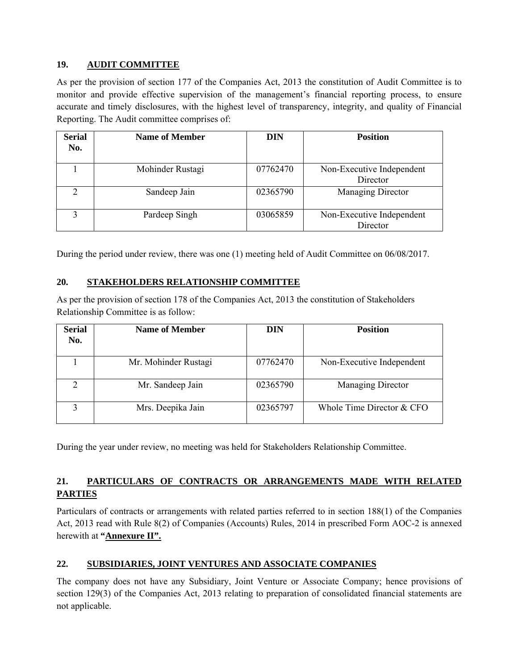## **19. AUDIT COMMITTEE**

As per the provision of section 177 of the Companies Act, 2013 the constitution of Audit Committee is to monitor and provide effective supervision of the management's financial reporting process, to ensure accurate and timely disclosures, with the highest level of transparency, integrity, and quality of Financial Reporting. The Audit committee comprises of:

| <b>Serial</b><br>No. | <b>Name of Member</b> | <b>DIN</b> | <b>Position</b>                       |
|----------------------|-----------------------|------------|---------------------------------------|
|                      | Mohinder Rustagi      | 07762470   | Non-Executive Independent<br>Director |
| ↑                    | Sandeep Jain          | 02365790   | Managing Director                     |
| ζ                    | Pardeep Singh         | 03065859   | Non-Executive Independent<br>Director |

During the period under review, there was one (1) meeting held of Audit Committee on 06/08/2017.

## **20. STAKEHOLDERS RELATIONSHIP COMMITTEE**

As per the provision of section 178 of the Companies Act, 2013 the constitution of Stakeholders Relationship Committee is as follow:

| <b>Serial</b><br>No. | <b>Name of Member</b> | <b>DIN</b> | <b>Position</b>             |
|----------------------|-----------------------|------------|-----------------------------|
|                      | Mr. Mohinder Rustagi  | 07762470   | Non-Executive Independent   |
|                      | Mr. Sandeep Jain      | 02365790   | Managing Director           |
| 2                    | Mrs. Deepika Jain     | 02365797   | Whole Time Director $&$ CFO |

During the year under review, no meeting was held for Stakeholders Relationship Committee.

## **21. PARTICULARS OF CONTRACTS OR ARRANGEMENTS MADE WITH RELATED PARTIES**

Particulars of contracts or arrangements with related parties referred to in section 188(1) of the Companies Act, 2013 read with Rule 8(2) of Companies (Accounts) Rules, 2014 in prescribed Form AOC-2 is annexed herewith at **"Annexure II".**

## **22. SUBSIDIARIES, JOINT VENTURES AND ASSOCIATE COMPANIES**

The company does not have any Subsidiary, Joint Venture or Associate Company; hence provisions of section 129(3) of the Companies Act, 2013 relating to preparation of consolidated financial statements are not applicable.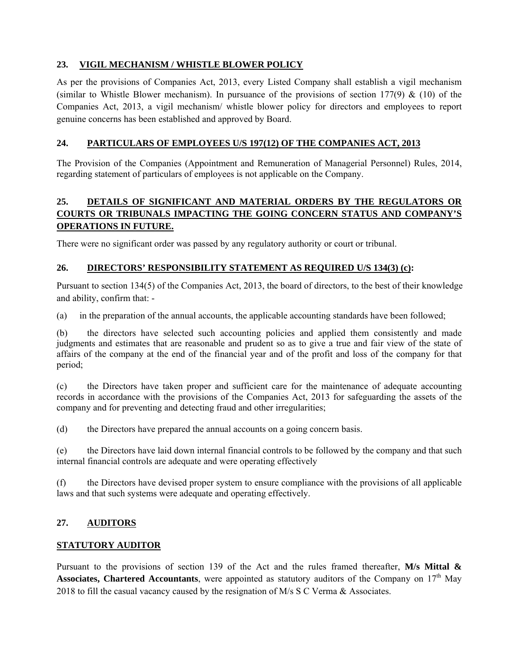## **23. VIGIL MECHANISM / WHISTLE BLOWER POLICY**

As per the provisions of Companies Act, 2013, every Listed Company shall establish a vigil mechanism (similar to Whistle Blower mechanism). In pursuance of the provisions of section 177(9)  $\&$  (10) of the Companies Act, 2013, a vigil mechanism/ whistle blower policy for directors and employees to report genuine concerns has been established and approved by Board.

## **24. PARTICULARS OF EMPLOYEES U/S 197(12) OF THE COMPANIES ACT, 2013**

The Provision of the Companies (Appointment and Remuneration of Managerial Personnel) Rules, 2014, regarding statement of particulars of employees is not applicable on the Company.

## **25. DETAILS OF SIGNIFICANT AND MATERIAL ORDERS BY THE REGULATORS OR COURTS OR TRIBUNALS IMPACTING THE GOING CONCERN STATUS AND COMPANY'S OPERATIONS IN FUTURE.**

There were no significant order was passed by any regulatory authority or court or tribunal.

## **26. DIRECTORS' RESPONSIBILITY STATEMENT AS REQUIRED U/S 134(3) (c):**

Pursuant to section 134(5) of the Companies Act, 2013, the board of directors, to the best of their knowledge and ability, confirm that: -

(a) in the preparation of the annual accounts, the applicable accounting standards have been followed;

(b) the directors have selected such accounting policies and applied them consistently and made judgments and estimates that are reasonable and prudent so as to give a true and fair view of the state of affairs of the company at the end of the financial year and of the profit and loss of the company for that period;

(c) the Directors have taken proper and sufficient care for the maintenance of adequate accounting records in accordance with the provisions of the Companies Act, 2013 for safeguarding the assets of the company and for preventing and detecting fraud and other irregularities;

(d) the Directors have prepared the annual accounts on a going concern basis.

(e) the Directors have laid down internal financial controls to be followed by the company and that such internal financial controls are adequate and were operating effectively

(f) the Directors have devised proper system to ensure compliance with the provisions of all applicable laws and that such systems were adequate and operating effectively.

## **27. AUDITORS**

## **STATUTORY AUDITOR**

Pursuant to the provisions of section 139 of the Act and the rules framed thereafter, **M/s Mittal & Associates, Chartered Accountants**, were appointed as statutory auditors of the Company on  $17<sup>th</sup>$  May 2018 to fill the casual vacancy caused by the resignation of M/s S C Verma & Associates.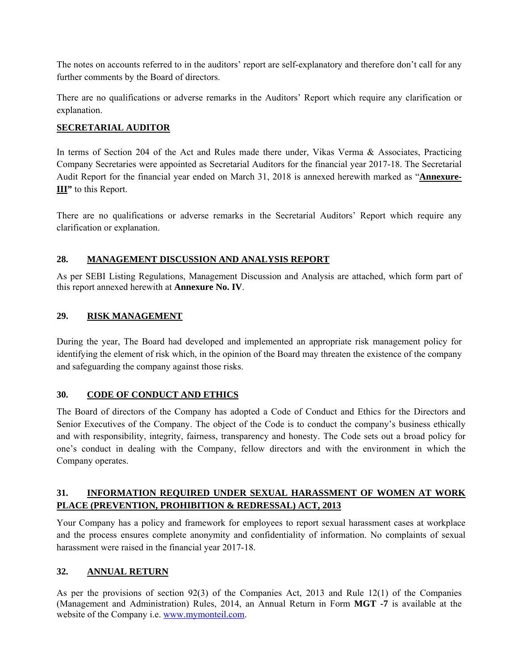The notes on accounts referred to in the auditors' report are self-explanatory and therefore don't call for any further comments by the Board of directors.

There are no qualifications or adverse remarks in the Auditors' Report which require any clarification or explanation.

## **SECRETARIAL AUDITOR**

In terms of Section 204 of the Act and Rules made there under, Vikas Verma & Associates, Practicing Company Secretaries were appointed as Secretarial Auditors for the financial year 2017-18. The Secretarial Audit Report for the financial year ended on March 31, 2018 is annexed herewith marked as "**Annexure-III"** to this Report.

There are no qualifications or adverse remarks in the Secretarial Auditors' Report which require any clarification or explanation.

## **28. MANAGEMENT DISCUSSION AND ANALYSIS REPORT**

As per SEBI Listing Regulations, Management Discussion and Analysis are attached, which form part of this report annexed herewith at **Annexure No. IV**.

## **29. RISK MANAGEMENT**

During the year, The Board had developed and implemented an appropriate risk management policy for identifying the element of risk which, in the opinion of the Board may threaten the existence of the company and safeguarding the company against those risks.

## **30. CODE OF CONDUCT AND ETHICS**

The Board of directors of the Company has adopted a Code of Conduct and Ethics for the Directors and Senior Executives of the Company. The object of the Code is to conduct the company's business ethically and with responsibility, integrity, fairness, transparency and honesty. The Code sets out a broad policy for one's conduct in dealing with the Company, fellow directors and with the environment in which the Company operates.

## **31. INFORMATION REQUIRED UNDER SEXUAL HARASSMENT OF WOMEN AT WORK PLACE (PREVENTION, PROHIBITION & REDRESSAL) ACT, 2013**

Your Company has a policy and framework for employees to report sexual harassment cases at workplace and the process ensures complete anonymity and confidentiality of information. No complaints of sexual harassment were raised in the financial year 2017-18.

## **32. ANNUAL RETURN**

As per the provisions of section 92(3) of the Companies Act, 2013 and Rule 12(1) of the Companies (Management and Administration) Rules, 2014, an Annual Return in Form **MGT -7** is available at the website of the Company i.e. www.mymonteil.com.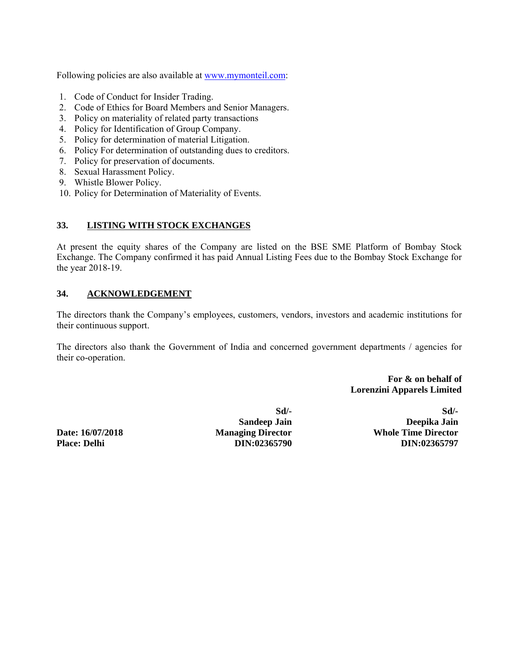Following policies are also available at www.mymonteil.com:

- 1. Code of Conduct for Insider Trading.
- 2. Code of Ethics for Board Members and Senior Managers.
- 3. Policy on materiality of related party transactions
- 4. Policy for Identification of Group Company.
- 5. Policy for determination of material Litigation.
- 6. Policy For determination of outstanding dues to creditors.
- 7. Policy for preservation of documents.
- 8. Sexual Harassment Policy.
- 9. Whistle Blower Policy.
- 10. Policy for Determination of Materiality of Events.

#### **33. LISTING WITH STOCK EXCHANGES**

At present the equity shares of the Company are listed on the BSE SME Platform of Bombay Stock Exchange. The Company confirmed it has paid Annual Listing Fees due to the Bombay Stock Exchange for the year 2018-19.

## **34. ACKNOWLEDGEMENT**

The directors thank the Company's employees, customers, vendors, investors and academic institutions for their continuous support.

The directors also thank the Government of India and concerned government departments / agencies for their co-operation.

> **For & on behalf of Lorenzini Apparels Limited**

 **Sd/- Sd/-**

 **Sandeep Jain Deepika Jain Date: 16/07/2018 Managing Director Whole Time Director Place: Delhi DIN:02365790 DIN:02365797**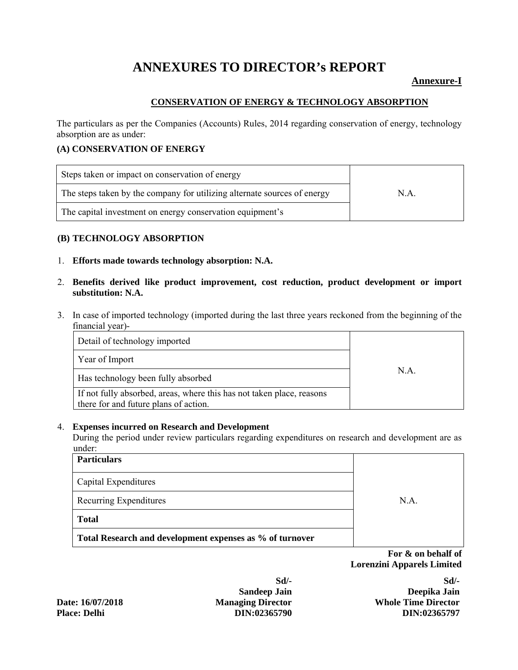## **ANNEXURES TO DIRECTOR's REPORT**

## **Annexure-I**

## **CONSERVATION OF ENERGY & TECHNOLOGY ABSORPTION**

The particulars as per the Companies (Accounts) Rules, 2014 regarding conservation of energy, technology absorption are as under:

## **(A) CONSERVATION OF ENERGY**

| Steps taken or impact on conservation of energy                          |     |
|--------------------------------------------------------------------------|-----|
| The steps taken by the company for utilizing alternate sources of energy | N.A |
| The capital investment on energy conservation equipment's                |     |

#### **(B) TECHNOLOGY ABSORPTION**

- 1. **Efforts made towards technology absorption: N.A.**
- 2. **Benefits derived like product improvement, cost reduction, product development or import substitution: N.A.**
- 3. In case of imported technology (imported during the last three years reckoned from the beginning of the financial year)-

| Detail of technology imported                                                                                  |      |
|----------------------------------------------------------------------------------------------------------------|------|
| Year of Import                                                                                                 |      |
| Has technology been fully absorbed                                                                             | N.A. |
| If not fully absorbed, areas, where this has not taken place, reasons<br>there for and future plans of action. |      |

#### 4. **Expenses incurred on Research and Development**

During the period under review particulars regarding expenditures on research and development are as under:

| <b>Particulars</b>                                       |     |
|----------------------------------------------------------|-----|
| Capital Expenditures                                     |     |
| Recurring Expenditures                                   | NA. |
| <b>Total</b>                                             |     |
| Total Research and development expenses as % of turnover |     |

 **For & on behalf of Lorenzini Apparels Limited** 

 **Sd/- Sd/-**

 **Sandeep Jain Deepika Jain Date: 16/07/2018 Managing Director Whole Time Director Place: Delhi DIN:02365790 DIN:02365797**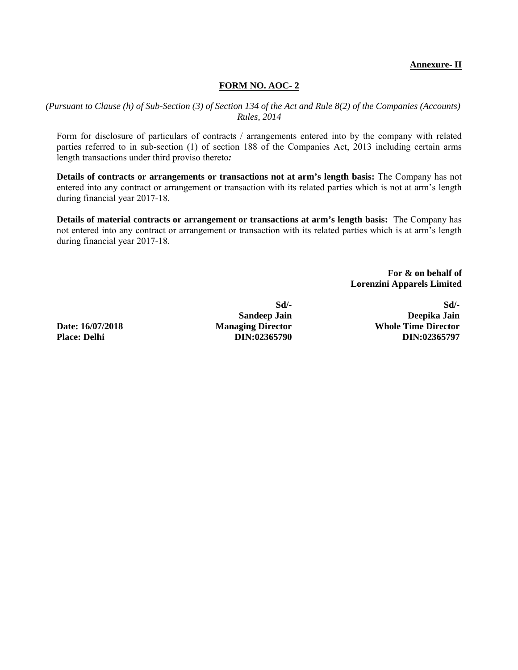#### **Annexure- II**

#### **FORM NO. AOC- 2**

*(Pursuant to Clause (h) of Sub-Section (3) of Section 134 of the Act and Rule 8(2) of the Companies (Accounts) Rules, 2014* 

Form for disclosure of particulars of contracts / arrangements entered into by the company with related parties referred to in sub-section (1) of section 188 of the Companies Act, 2013 including certain arms length transactions under third proviso thereto*:* 

**Details of contracts or arrangements or transactions not at arm's length basis:** The Company has not entered into any contract or arrangement or transaction with its related parties which is not at arm's length during financial year 2017-18.

**Details of material contracts or arrangement or transactions at arm's length basis:** The Company has not entered into any contract or arrangement or transaction with its related parties which is at arm's length during financial year 2017-18.

> **For & on behalf of Lorenzini Apparels Limited**

**Place: Delhi DIN:02365790 DIN:02365797**

 **Sd/- Sd/- Sandeep Jain Deepika Jain Date: 16/07/2018** Managing Director Mole Time Director<br>Place: Delhi **Managing Director** DIN:02365790 **Managing Director**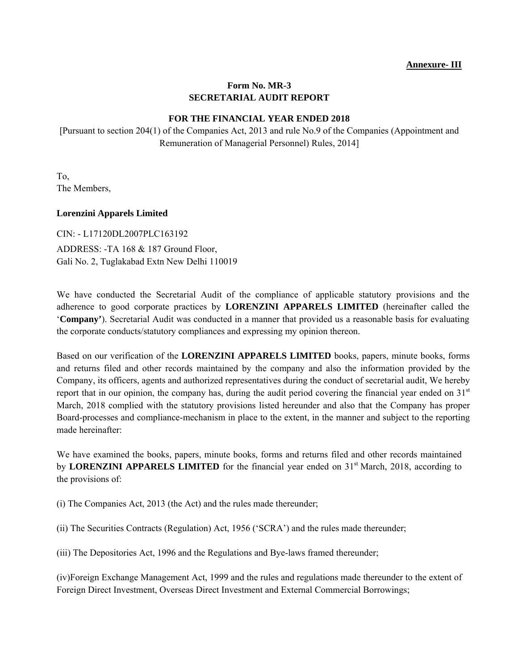## **Form No. MR-3 SECRETARIAL AUDIT REPORT**

## **FOR THE FINANCIAL YEAR ENDED 2018**

[Pursuant to section 204(1) of the Companies Act, 2013 and rule No.9 of the Companies (Appointment and Remuneration of Managerial Personnel) Rules, 2014]

To, The Members,

#### **Lorenzini Apparels Limited**

CIN: - L17120DL2007PLC163192 ADDRESS: -TA 168 & 187 Ground Floor, Gali No. 2, Tuglakabad Extn New Delhi 110019

We have conducted the Secretarial Audit of the compliance of applicable statutory provisions and the adherence to good corporate practices by **LORENZINI APPARELS LIMITED** (hereinafter called the '**Company'**). Secretarial Audit was conducted in a manner that provided us a reasonable basis for evaluating the corporate conducts/statutory compliances and expressing my opinion thereon.

Based on our verification of the **LORENZINI APPARELS LIMITED** books, papers, minute books, forms and returns filed and other records maintained by the company and also the information provided by the Company, its officers, agents and authorized representatives during the conduct of secretarial audit, We hereby report that in our opinion, the company has, during the audit period covering the financial year ended on  $31<sup>st</sup>$ March, 2018 complied with the statutory provisions listed hereunder and also that the Company has proper Board-processes and compliance-mechanism in place to the extent, in the manner and subject to the reporting made hereinafter:

We have examined the books, papers, minute books, forms and returns filed and other records maintained by **LORENZINI APPARELS LIMITED** for the financial year ended on 31<sup>st</sup> March, 2018, according to the provisions of:

(i) The Companies Act, 2013 (the Act) and the rules made thereunder;

(ii) The Securities Contracts (Regulation) Act, 1956 ('SCRA') and the rules made thereunder;

(iii) The Depositories Act, 1996 and the Regulations and Bye-laws framed thereunder;

(iv)Foreign Exchange Management Act, 1999 and the rules and regulations made thereunder to the extent of Foreign Direct Investment, Overseas Direct Investment and External Commercial Borrowings;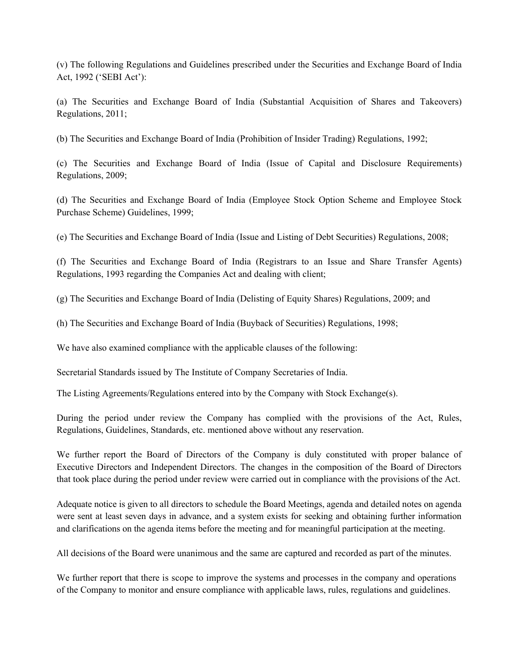(v) The following Regulations and Guidelines prescribed under the Securities and Exchange Board of India Act, 1992 ('SEBI Act'):

(a) The Securities and Exchange Board of India (Substantial Acquisition of Shares and Takeovers) Regulations, 2011;

(b) The Securities and Exchange Board of India (Prohibition of Insider Trading) Regulations, 1992;

(c) The Securities and Exchange Board of India (Issue of Capital and Disclosure Requirements) Regulations, 2009;

(d) The Securities and Exchange Board of India (Employee Stock Option Scheme and Employee Stock Purchase Scheme) Guidelines, 1999;

(e) The Securities and Exchange Board of India (Issue and Listing of Debt Securities) Regulations, 2008;

(f) The Securities and Exchange Board of India (Registrars to an Issue and Share Transfer Agents) Regulations, 1993 regarding the Companies Act and dealing with client;

(g) The Securities and Exchange Board of India (Delisting of Equity Shares) Regulations, 2009; and

(h) The Securities and Exchange Board of India (Buyback of Securities) Regulations, 1998;

We have also examined compliance with the applicable clauses of the following:

Secretarial Standards issued by The Institute of Company Secretaries of India.

The Listing Agreements/Regulations entered into by the Company with Stock Exchange(s).

During the period under review the Company has complied with the provisions of the Act, Rules, Regulations, Guidelines, Standards, etc. mentioned above without any reservation.

We further report the Board of Directors of the Company is duly constituted with proper balance of Executive Directors and Independent Directors. The changes in the composition of the Board of Directors that took place during the period under review were carried out in compliance with the provisions of the Act.

Adequate notice is given to all directors to schedule the Board Meetings, agenda and detailed notes on agenda were sent at least seven days in advance, and a system exists for seeking and obtaining further information and clarifications on the agenda items before the meeting and for meaningful participation at the meeting.

All decisions of the Board were unanimous and the same are captured and recorded as part of the minutes.

We further report that there is scope to improve the systems and processes in the company and operations of the Company to monitor and ensure compliance with applicable laws, rules, regulations and guidelines.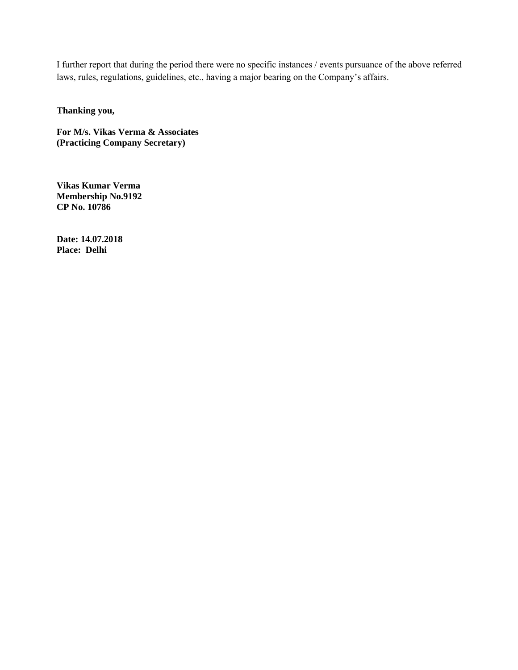I further report that during the period there were no specific instances / events pursuance of the above referred laws, rules, regulations, guidelines, etc., having a major bearing on the Company's affairs.

**Thanking you,** 

**For M/s. Vikas Verma & Associates (Practicing Company Secretary)** 

**Vikas Kumar Verma Membership No.9192 CP No. 10786** 

**Date: 14.07.2018 Place: Delhi**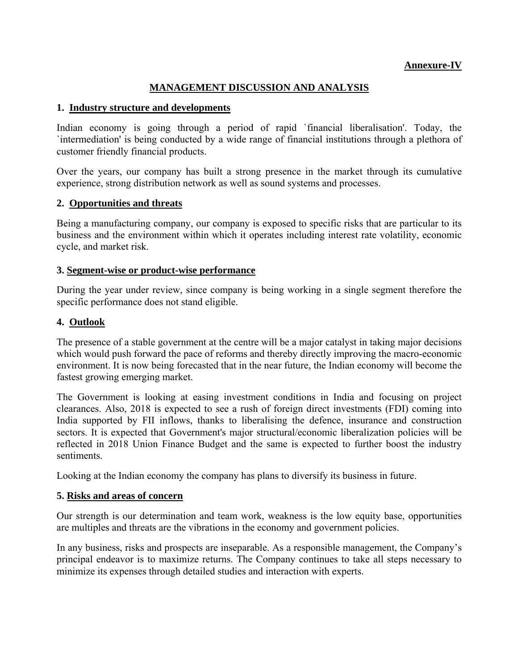## **Annexure-IV**

## **MANAGEMENT DISCUSSION AND ANALYSIS**

## **1. Industry structure and developments**

Indian economy is going through a period of rapid `financial liberalisation'. Today, the `intermediation' is being conducted by a wide range of financial institutions through a plethora of customer friendly financial products.

Over the years, our company has built a strong presence in the market through its cumulative experience, strong distribution network as well as sound systems and processes.

## **2. Opportunities and threats**

Being a manufacturing company, our company is exposed to specific risks that are particular to its business and the environment within which it operates including interest rate volatility, economic cycle, and market risk.

## **3. Segment-wise or product-wise performance**

During the year under review, since company is being working in a single segment therefore the specific performance does not stand eligible.

## **4. Outlook**

The presence of a stable government at the centre will be a major catalyst in taking major decisions which would push forward the pace of reforms and thereby directly improving the macro-economic environment. It is now being forecasted that in the near future, the Indian economy will become the fastest growing emerging market.

The Government is looking at easing investment conditions in India and focusing on project clearances. Also, 2018 is expected to see a rush of foreign direct investments (FDI) coming into India supported by FII inflows, thanks to liberalising the defence, insurance and construction sectors. It is expected that Government's major structural/economic liberalization policies will be reflected in 2018 Union Finance Budget and the same is expected to further boost the industry sentiments.

Looking at the Indian economy the company has plans to diversify its business in future.

#### **5. Risks and areas of concern**

Our strength is our determination and team work, weakness is the low equity base, opportunities are multiples and threats are the vibrations in the economy and government policies.

In any business, risks and prospects are inseparable. As a responsible management, the Company's principal endeavor is to maximize returns. The Company continues to take all steps necessary to minimize its expenses through detailed studies and interaction with experts.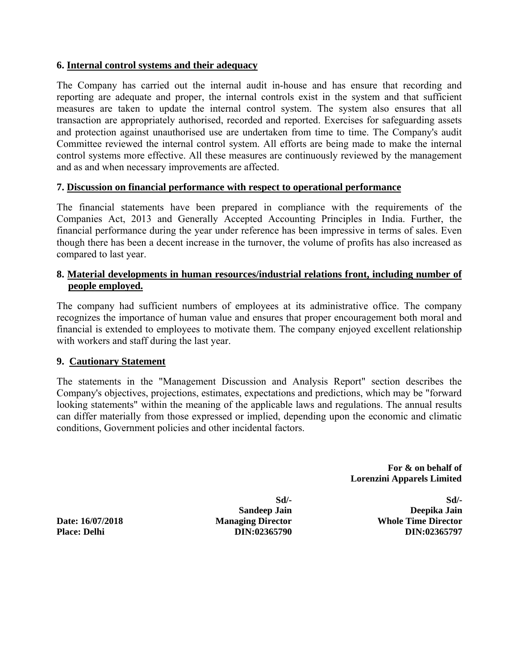## **6. Internal control systems and their adequacy**

The Company has carried out the internal audit in-house and has ensure that recording and reporting are adequate and proper, the internal controls exist in the system and that sufficient measures are taken to update the internal control system. The system also ensures that all transaction are appropriately authorised, recorded and reported. Exercises for safeguarding assets and protection against unauthorised use are undertaken from time to time. The Company's audit Committee reviewed the internal control system. All efforts are being made to make the internal control systems more effective. All these measures are continuously reviewed by the management and as and when necessary improvements are affected.

## **7. Discussion on financial performance with respect to operational performance**

The financial statements have been prepared in compliance with the requirements of the Companies Act, 2013 and Generally Accepted Accounting Principles in India. Further, the financial performance during the year under reference has been impressive in terms of sales. Even though there has been a decent increase in the turnover, the volume of profits has also increased as compared to last year.

## **8. Material developments in human resources/industrial relations front, including number of people employed.**

The company had sufficient numbers of employees at its administrative office. The company recognizes the importance of human value and ensures that proper encouragement both moral and financial is extended to employees to motivate them. The company enjoyed excellent relationship with workers and staff during the last year.

## **9. Cautionary Statement**

The statements in the "Management Discussion and Analysis Report" section describes the Company's objectives, projections, estimates, expectations and predictions, which may be "forward looking statements" within the meaning of the applicable laws and regulations. The annual results can differ materially from those expressed or implied, depending upon the economic and climatic conditions, Government policies and other incidental factors.

> **For & on behalf of Lorenzini Apparels Limited**

 **Sd/- Sd/- Sandeep Jain Deepika Jain Date: 16/07/2018 Managing Director Whole Time Director Place: Delhi DIN:02365790 DIN:02365797**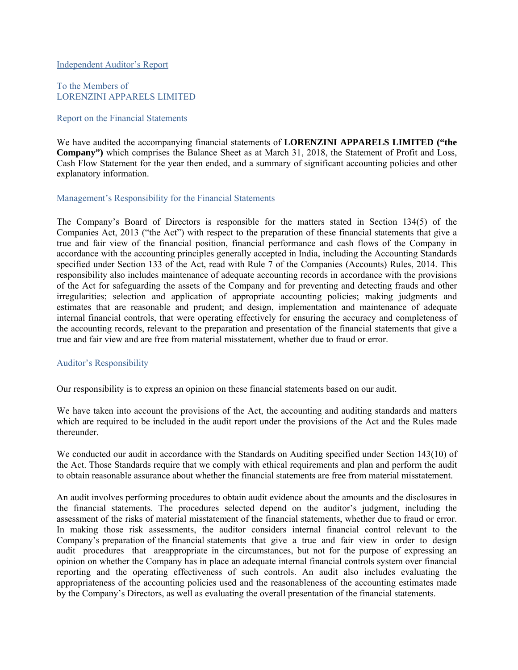Independent Auditor's Report

To the Members of LORENZINI APPARELS LIMITED

#### Report on the Financial Statements

We have audited the accompanying financial statements of **LORENZINI APPARELS LIMITED ("the Company")** which comprises the Balance Sheet as at March 31, 2018, the Statement of Profit and Loss, Cash Flow Statement for the year then ended, and a summary of significant accounting policies and other explanatory information.

#### Management's Responsibility for the Financial Statements

The Company's Board of Directors is responsible for the matters stated in Section 134(5) of the Companies Act, 2013 ("the Act") with respect to the preparation of these financial statements that give a true and fair view of the financial position, financial performance and cash flows of the Company in accordance with the accounting principles generally accepted in India, including the Accounting Standards specified under Section 133 of the Act, read with Rule 7 of the Companies (Accounts) Rules, 2014. This responsibility also includes maintenance of adequate accounting records in accordance with the provisions of the Act for safeguarding the assets of the Company and for preventing and detecting frauds and other irregularities; selection and application of appropriate accounting policies; making judgments and estimates that are reasonable and prudent; and design, implementation and maintenance of adequate internal financial controls, that were operating effectively for ensuring the accuracy and completeness of the accounting records, relevant to the preparation and presentation of the financial statements that give a true and fair view and are free from material misstatement, whether due to fraud or error.

#### Auditor's Responsibility

Our responsibility is to express an opinion on these financial statements based on our audit.

We have taken into account the provisions of the Act, the accounting and auditing standards and matters which are required to be included in the audit report under the provisions of the Act and the Rules made thereunder.

We conducted our audit in accordance with the Standards on Auditing specified under Section 143(10) of the Act. Those Standards require that we comply with ethical requirements and plan and perform the audit to obtain reasonable assurance about whether the financial statements are free from material misstatement.

An audit involves performing procedures to obtain audit evidence about the amounts and the disclosures in the financial statements. The procedures selected depend on the auditor's judgment, including the assessment of the risks of material misstatement of the financial statements, whether due to fraud or error. In making those risk assessments, the auditor considers internal financial control relevant to the Company's preparation of the financial statements that give a true and fair view in order to design audit procedures that areappropriate in the circumstances, but not for the purpose of expressing an opinion on whether the Company has in place an adequate internal financial controls system over financial reporting and the operating effectiveness of such controls. An audit also includes evaluating the appropriateness of the accounting policies used and the reasonableness of the accounting estimates made by the Company's Directors, as well as evaluating the overall presentation of the financial statements.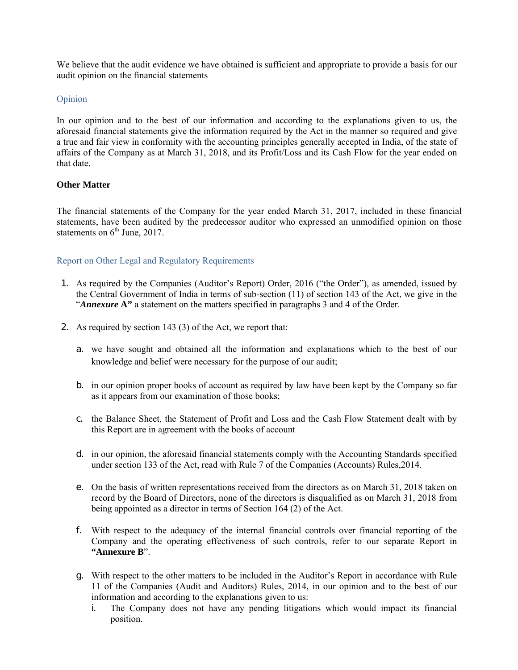We believe that the audit evidence we have obtained is sufficient and appropriate to provide a basis for our audit opinion on the financial statements

## Opinion

In our opinion and to the best of our information and according to the explanations given to us, the aforesaid financial statements give the information required by the Act in the manner so required and give a true and fair view in conformity with the accounting principles generally accepted in India, of the state of affairs of the Company as at March 31, 2018, and its Profit/Loss and its Cash Flow for the year ended on that date.

## **Other Matter**

The financial statements of the Company for the year ended March 31, 2017, included in these financial statements, have been audited by the predecessor auditor who expressed an unmodified opinion on those statements on  $6<sup>th</sup>$  June, 2017.

## Report on Other Legal and Regulatory Requirements

- 1. As required by the Companies (Auditor's Report) Order, 2016 ("the Order"), as amended, issued by the Central Government of India in terms of sub-section (11) of section 143 of the Act, we give in the "*Annexure* **A"** a statement on the matters specified in paragraphs 3 and 4 of the Order.
- 2. As required by section 143 (3) of the Act, we report that:
	- a. we have sought and obtained all the information and explanations which to the best of our knowledge and belief were necessary for the purpose of our audit;
	- b. in our opinion proper books of account as required by law have been kept by the Company so far as it appears from our examination of those books;
	- c. the Balance Sheet, the Statement of Profit and Loss and the Cash Flow Statement dealt with by this Report are in agreement with the books of account
	- d. in our opinion, the aforesaid financial statements comply with the Accounting Standards specified under section 133 of the Act, read with Rule 7 of the Companies (Accounts) Rules,2014.
	- e. On the basis of written representations received from the directors as on March 31, 2018 taken on record by the Board of Directors, none of the directors is disqualified as on March 31, 2018 from being appointed as a director in terms of Section 164 (2) of the Act.
	- f. With respect to the adequacy of the internal financial controls over financial reporting of the Company and the operating effectiveness of such controls, refer to our separate Report in **"Annexure B**".
	- g. With respect to the other matters to be included in the Auditor's Report in accordance with Rule 11 of the Companies (Audit and Auditors) Rules, 2014, in our opinion and to the best of our information and according to the explanations given to us:
		- i. The Company does not have any pending litigations which would impact its financial position.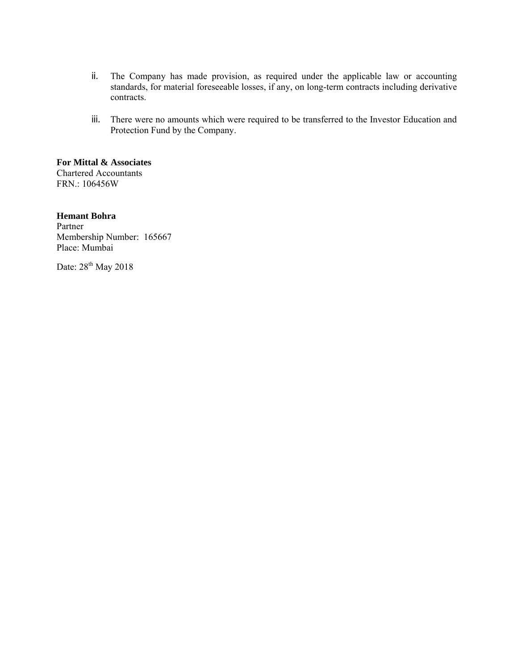- ii. The Company has made provision, as required under the applicable law or accounting standards, for material foreseeable losses, if any, on long-term contracts including derivative contracts.
- iii. There were no amounts which were required to be transferred to the Investor Education and Protection Fund by the Company.

**For Mittal & Associates**  Chartered Accountants FRN.: 106456W

## **Hemant Bohra**

Partner Membership Number: 165667 Place: Mumbai

Date: 28<sup>th</sup> May 2018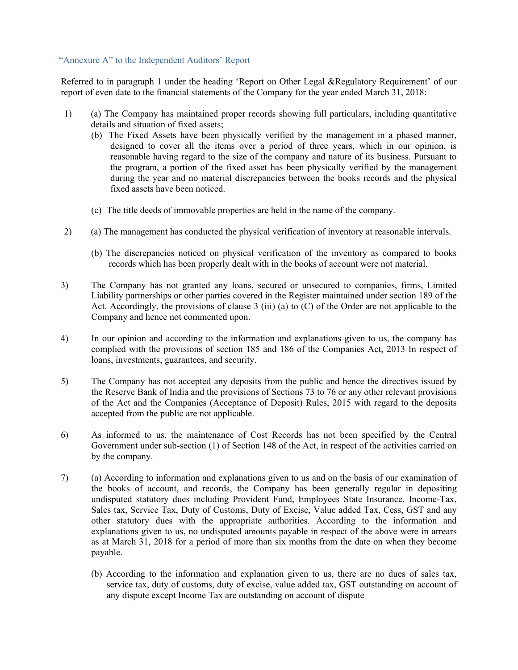#### "Annexure A" to the Independent Auditors' Report

Referred to in paragraph 1 under the heading 'Report on Other Legal &Regulatory Requirement' of our report of even date to the financial statements of the Company for the year ended March 31, 2018:

- 1) (a) The Company has maintained proper records showing full particulars, including quantitative details and situation of fixed assets;
	- (b) The Fixed Assets have been physically verified by the management in a phased manner, designed to cover all the items over a period of three years, which in our opinion, is reasonable having regard to the size of the company and nature of its business. Pursuant to the program, a portion of the fixed asset has been physically verified by the management during the year and no material discrepancies between the books records and the physical fixed assets have been noticed.
	- (c) The title deeds of immovable properties are held in the name of the company.
- 2) (a) The management has conducted the physical verification of inventory at reasonable intervals.
	- (b) The discrepancies noticed on physical verification of the inventory as compared to books records which has been properly dealt with in the books of account were not material.
- 3) The Company has not granted any loans, secured or unsecured to companies, firms, Limited Liability partnerships or other parties covered in the Register maintained under section 189 of the Act. Accordingly, the provisions of clause 3 (iii) (a) to (C) of the Order are not applicable to the Company and hence not commented upon.
- 4) In our opinion and according to the information and explanations given to us, the company has complied with the provisions of section 185 and 186 of the Companies Act, 2013 In respect of loans, investments, guarantees, and security.
- 5) The Company has not accepted any deposits from the public and hence the directives issued by the Reserve Bank of India and the provisions of Sections 73 to 76 or any other relevant provisions of the Act and the Companies (Acceptance of Deposit) Rules, 2015 with regard to the deposits accepted from the public are not applicable.
- 6) As informed to us, the maintenance of Cost Records has not been specified by the Central Government under sub-section (1) of Section 148 of the Act, in respect of the activities carried on by the company.
- 7) (a) According to information and explanations given to us and on the basis of our examination of the books of account, and records, the Company has been generally regular in depositing undisputed statutory dues including Provident Fund, Employees State Insurance, Income-Tax, Sales tax, Service Tax, Duty of Customs, Duty of Excise, Value added Tax, Cess, GST and any other statutory dues with the appropriate authorities. According to the information and explanations given to us, no undisputed amounts payable in respect of the above were in arrears as at March 31, 2018 for a period of more than six months from the date on when they become payable.
	- (b) According to the information and explanation given to us, there are no dues of sales tax, service tax, duty of customs, duty of excise, value added tax, GST outstanding on account of any dispute except Income Tax are outstanding on account of dispute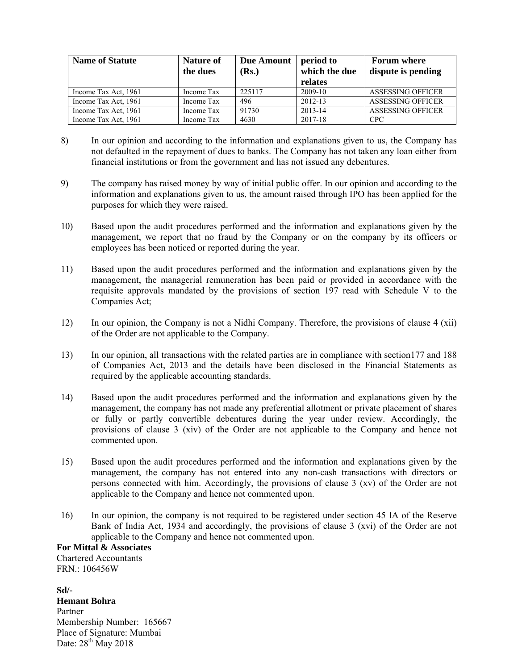| <b>Name of Statute</b> | Nature of<br>the dues | Due Amount<br>(Rs.) | period to<br>which the due<br>relates | <b>Forum where</b><br>dispute is pending |
|------------------------|-----------------------|---------------------|---------------------------------------|------------------------------------------|
| Income Tax Act, 1961   | Income Tax            | 225117              | 2009-10                               | <b>ASSESSING OFFICER</b>                 |
| Income Tax Act, 1961   | Income Tax            | 496                 | 2012-13                               | <b>ASSESSING OFFICER</b>                 |
| Income Tax Act, 1961   | Income Tax            | 91730               | 2013-14                               | <b>ASSESSING OFFICER</b>                 |
| Income Tax Act, 1961   | Income Tax            | 4630                | 2017-18                               | <b>CPC</b>                               |

- 8) In our opinion and according to the information and explanations given to us, the Company has not defaulted in the repayment of dues to banks. The Company has not taken any loan either from financial institutions or from the government and has not issued any debentures.
- 9) The company has raised money by way of initial public offer. In our opinion and according to the information and explanations given to us, the amount raised through IPO has been applied for the purposes for which they were raised.
- 10) Based upon the audit procedures performed and the information and explanations given by the management, we report that no fraud by the Company or on the company by its officers or employees has been noticed or reported during the year.
- 11) Based upon the audit procedures performed and the information and explanations given by the management, the managerial remuneration has been paid or provided in accordance with the requisite approvals mandated by the provisions of section 197 read with Schedule V to the Companies Act;
- 12) In our opinion, the Company is not a Nidhi Company. Therefore, the provisions of clause 4 (xii) of the Order are not applicable to the Company.
- 13) In our opinion, all transactions with the related parties are in compliance with section177 and 188 of Companies Act, 2013 and the details have been disclosed in the Financial Statements as required by the applicable accounting standards.
- 14) Based upon the audit procedures performed and the information and explanations given by the management, the company has not made any preferential allotment or private placement of shares or fully or partly convertible debentures during the year under review. Accordingly, the provisions of clause 3 (xiv) of the Order are not applicable to the Company and hence not commented upon.
- 15) Based upon the audit procedures performed and the information and explanations given by the management, the company has not entered into any non-cash transactions with directors or persons connected with him. Accordingly, the provisions of clause 3 (xv) of the Order are not applicable to the Company and hence not commented upon.
- 16) In our opinion, the company is not required to be registered under section 45 IA of the Reserve Bank of India Act, 1934 and accordingly, the provisions of clause 3 (xvi) of the Order are not applicable to the Company and hence not commented upon.

**For Mittal & Associates**  Chartered Accountants FRN.: 106456W

**Sd/- Hemant Bohra**  Partner Membership Number: 165667 Place of Signature: Mumbai Date:  $28^{th}$  May 2018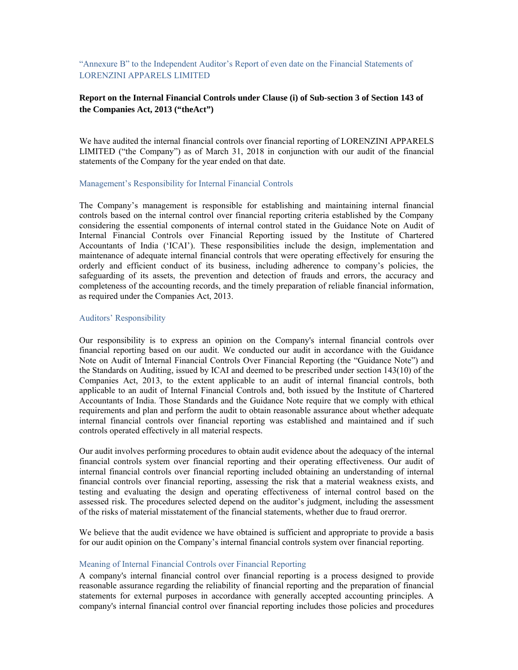"Annexure B" to the Independent Auditor's Report of even date on the Financial Statements of LORENZINI APPARELS LIMITED

#### **Report on the Internal Financial Controls under Clause (i) of Sub-section 3 of Section 143 of the Companies Act, 2013 ("theAct")**

We have audited the internal financial controls over financial reporting of LORENZINI APPARELS LIMITED ("the Company") as of March 31, 2018 in conjunction with our audit of the financial statements of the Company for the year ended on that date.

#### Management's Responsibility for Internal Financial Controls

The Company's management is responsible for establishing and maintaining internal financial controls based on the internal control over financial reporting criteria established by the Company considering the essential components of internal control stated in the Guidance Note on Audit of Internal Financial Controls over Financial Reporting issued by the Institute of Chartered Accountants of India ('ICAI'). These responsibilities include the design, implementation and maintenance of adequate internal financial controls that were operating effectively for ensuring the orderly and efficient conduct of its business, including adherence to company's policies, the safeguarding of its assets, the prevention and detection of frauds and errors, the accuracy and completeness of the accounting records, and the timely preparation of reliable financial information, as required under the Companies Act, 2013.

#### Auditors' Responsibility

Our responsibility is to express an opinion on the Company's internal financial controls over financial reporting based on our audit. We conducted our audit in accordance with the Guidance Note on Audit of Internal Financial Controls Over Financial Reporting (the "Guidance Note") and the Standards on Auditing, issued by ICAI and deemed to be prescribed under section 143(10) of the Companies Act, 2013, to the extent applicable to an audit of internal financial controls, both applicable to an audit of Internal Financial Controls and, both issued by the Institute of Chartered Accountants of India. Those Standards and the Guidance Note require that we comply with ethical requirements and plan and perform the audit to obtain reasonable assurance about whether adequate internal financial controls over financial reporting was established and maintained and if such controls operated effectively in all material respects.

Our audit involves performing procedures to obtain audit evidence about the adequacy of the internal financial controls system over financial reporting and their operating effectiveness. Our audit of internal financial controls over financial reporting included obtaining an understanding of internal financial controls over financial reporting, assessing the risk that a material weakness exists, and testing and evaluating the design and operating effectiveness of internal control based on the assessed risk. The procedures selected depend on the auditor's judgment, including the assessment of the risks of material misstatement of the financial statements, whether due to fraud orerror.

We believe that the audit evidence we have obtained is sufficient and appropriate to provide a basis for our audit opinion on the Company's internal financial controls system over financial reporting.

#### Meaning of Internal Financial Controls over Financial Reporting

A company's internal financial control over financial reporting is a process designed to provide reasonable assurance regarding the reliability of financial reporting and the preparation of financial statements for external purposes in accordance with generally accepted accounting principles. A company's internal financial control over financial reporting includes those policies and procedures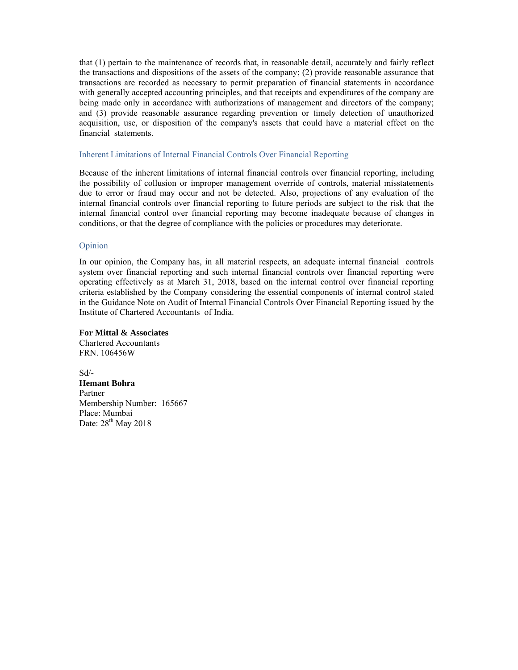that (1) pertain to the maintenance of records that, in reasonable detail, accurately and fairly reflect the transactions and dispositions of the assets of the company; (2) provide reasonable assurance that transactions are recorded as necessary to permit preparation of financial statements in accordance with generally accepted accounting principles, and that receipts and expenditures of the company are being made only in accordance with authorizations of management and directors of the company; and (3) provide reasonable assurance regarding prevention or timely detection of unauthorized acquisition, use, or disposition of the company's assets that could have a material effect on the financial statements.

#### Inherent Limitations of Internal Financial Controls Over Financial Reporting

Because of the inherent limitations of internal financial controls over financial reporting, including the possibility of collusion or improper management override of controls, material misstatements due to error or fraud may occur and not be detected. Also, projections of any evaluation of the internal financial controls over financial reporting to future periods are subject to the risk that the internal financial control over financial reporting may become inadequate because of changes in conditions, or that the degree of compliance with the policies or procedures may deteriorate.

#### Opinion

In our opinion, the Company has, in all material respects, an adequate internal financial controls system over financial reporting and such internal financial controls over financial reporting were operating effectively as at March 31, 2018, based on the internal control over financial reporting criteria established by the Company considering the essential components of internal control stated in the Guidance Note on Audit of Internal Financial Controls Over Financial Reporting issued by the Institute of Chartered Accountants of India.

**For Mittal & Associates** 

Chartered Accountants FRN. 106456W

Sd/- **Hemant Bohra**  Partner Membership Number: 165667 Place: Mumbai Date: 28<sup>th</sup> May 2018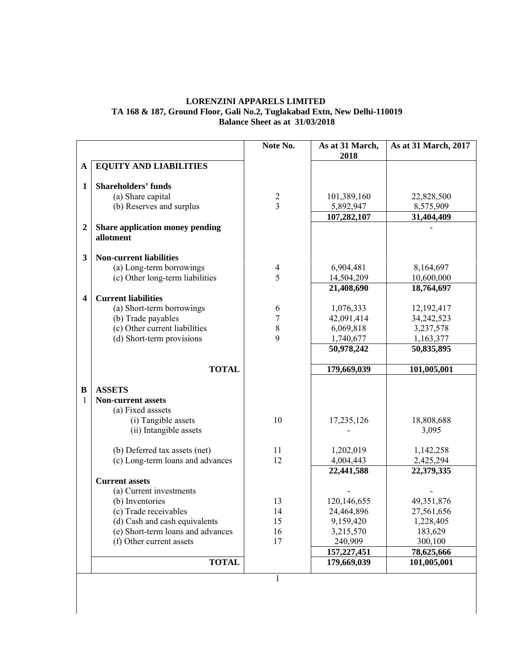#### **LORENZINI APPARELS LIMITED TA 168 & 187, Ground Floor, Gali No.2, Tuglakabad Extn, New Delhi-110019 Balance Sheet as at 31/03/2018**

|                         |                                              | Note No.       | As at 31 March,<br>2018    | As at 31 March, 2017      |
|-------------------------|----------------------------------------------|----------------|----------------------------|---------------------------|
| A                       | <b>EQUITY AND LIABILITIES</b>                |                |                            |                           |
|                         |                                              |                |                            |                           |
| 1                       | <b>Shareholders' funds</b>                   |                |                            |                           |
|                         | (a) Share capital                            | $\overline{2}$ | 101,389,160                | 22,828,500                |
|                         | (b) Reserves and surplus                     | $\overline{3}$ | 5,892,947                  | 8,575,909                 |
|                         |                                              |                | 107,282,107                | 31,404,409                |
| $\boldsymbol{2}$        | Share application money pending<br>allotment |                |                            |                           |
| 3                       | <b>Non-current liabilities</b>               |                |                            |                           |
|                         | (a) Long-term borrowings                     | $\overline{4}$ | 6,904,481                  | 8,164,697                 |
|                         | (c) Other long-term liabilities              | 5              | 14,504,209                 | 10,600,000                |
|                         |                                              |                | 21,408,690                 | 18,764,697                |
| $\overline{\mathbf{4}}$ | <b>Current liabilities</b>                   |                |                            |                           |
|                         | (a) Short-term borrowings                    | 6              | 1,076,333                  | 12,192,417                |
|                         | (b) Trade payables                           | $\overline{7}$ | 42,091,414                 | 34,242,523                |
|                         | (c) Other current liabilities                | $\,$ $\,$      | 6,069,818                  | 3,237,578                 |
|                         | (d) Short-term provisions                    | 9              | 1,740,677                  | 1,163,377                 |
|                         |                                              |                | 50,978,242                 | 50,835,895                |
|                         | <b>TOTAL</b>                                 |                | 179,669,039                | 101,005,001               |
| B                       | <b>ASSETS</b>                                |                |                            |                           |
| 1                       | <b>Non-current assets</b>                    |                |                            |                           |
|                         | (a) Fixed asssets                            |                |                            |                           |
|                         | (i) Tangible assets                          | 10             | 17,235,126                 | 18,808,688                |
|                         | (ii) Intangible assets                       |                |                            | 3,095                     |
|                         | (b) Deferred tax assets (net)                | 11             | 1,202,019                  | 1,142,258                 |
|                         | (c) Long-term loans and advances             | 12             | 4,004,443                  | 2,425,294                 |
|                         |                                              |                | 22,441,588                 | 22,379,335                |
|                         | <b>Current assets</b>                        |                |                            |                           |
|                         | (a) Current investments                      |                |                            |                           |
|                         | (b) Inventories                              | 13             | 120,146,655                | 49,351,876                |
|                         | (c) Trade receivables                        | 14             | 24,464,896                 | 27,561,656                |
|                         | (d) Cash and cash equivalents                | 15             | 9,159,420                  | 1,228,405                 |
|                         | (e) Short-term loans and advances            | 16             | 3,215,570                  | 183,629                   |
|                         | (f) Other current assets                     | 17             | 240,909                    | 300,100                   |
|                         |                                              |                |                            |                           |
|                         | <b>TOTAL</b>                                 |                | 157,227,451<br>179,669,039 | 78,625,666<br>101,005,001 |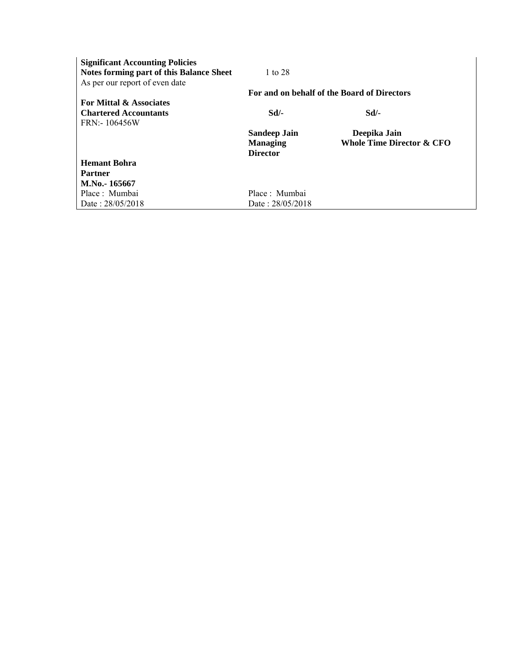| <b>Significant Accounting Policies</b>   |                     |                                             |
|------------------------------------------|---------------------|---------------------------------------------|
| Notes forming part of this Balance Sheet | 1 to 28             |                                             |
| As per our report of even date           |                     |                                             |
|                                          |                     | For and on behalf of the Board of Directors |
| <b>For Mittal &amp; Associates</b>       |                     |                                             |
| <b>Chartered Accountants</b>             | Sd                  | Sd                                          |
| FRN: - 106456W                           |                     |                                             |
|                                          | <b>Sandeep Jain</b> | Deepika Jain                                |
|                                          | <b>Managing</b>     | Whole Time Director & CFO                   |
|                                          | <b>Director</b>     |                                             |
| <b>Hemant Bohra</b>                      |                     |                                             |
| <b>Partner</b>                           |                     |                                             |
| M.No.-165667                             |                     |                                             |
| Place: Mumbai                            | Place: Mumbai       |                                             |
| Date: 28/05/2018                         | Date: 28/05/2018    |                                             |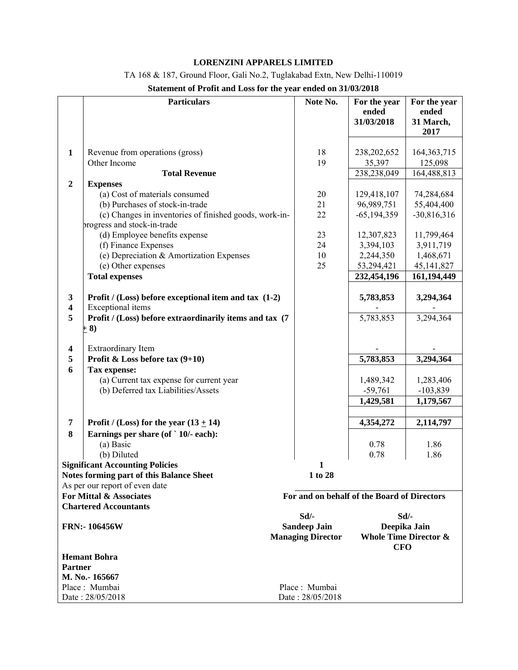## **LORENZINI APPARELS LIMITED**

TA 168 & 187, Ground Floor, Gali No.2, Tuglakabad Extn, New Delhi-110019

| Statement of Profit and Loss for the year ended on 31/03/2018 |  |  |
|---------------------------------------------------------------|--|--|
|                                                               |  |  |

|                              | <b>Particulars</b>                                                                | Note No.                                        | For the year<br>ended<br>31/03/2018 | For the year<br>ended<br>31 March,<br>2017       |
|------------------------------|-----------------------------------------------------------------------------------|-------------------------------------------------|-------------------------------------|--------------------------------------------------|
| $\mathbf{1}$                 | Revenue from operations (gross)<br>Other Income                                   | 18<br>19                                        | 238,202,652<br>35,397               | 164, 363, 715<br>125,098                         |
|                              | <b>Total Revenue</b>                                                              |                                                 | 238,238,049                         | 164,488,813                                      |
| $\overline{2}$               | <b>Expenses</b>                                                                   |                                                 |                                     |                                                  |
|                              | (a) Cost of materials consumed                                                    | 20                                              | 129,418,107                         | 74,284,684                                       |
|                              | (b) Purchases of stock-in-trade                                                   | 21                                              | 96,989,751                          | 55,404,400                                       |
|                              | (c) Changes in inventories of finished goods, work-in-                            | 22                                              | $-65, 194, 359$                     | $-30,816,316$                                    |
|                              | progress and stock-in-trade                                                       |                                                 |                                     |                                                  |
|                              | (d) Employee benefits expense                                                     | 23                                              | 12,307,823                          | 11,799,464                                       |
|                              | (f) Finance Expenses                                                              | 24                                              | 3,394,103                           | 3,911,719                                        |
|                              | (e) Depreciation & Amortization Expenses                                          | 10                                              | 2,244,350                           | 1,468,671                                        |
|                              | (e) Other expenses                                                                | 25                                              | 53,294,421                          | 45, 141, 827                                     |
|                              | <b>Total expenses</b>                                                             |                                                 | 232,454,196                         | 161,194,449                                      |
| 3<br>$\overline{\mathbf{4}}$ | Profit / (Loss) before exceptional item and tax (1-2)<br><b>Exceptional</b> items |                                                 | 5,783,853                           | 3,294,364                                        |
| 5                            | Profit / (Loss) before extraordinarily items and tax (7)<br>$+ 8)$                |                                                 | 5,783,853                           | 3,294,364                                        |
| $\overline{\mathbf{4}}$      | <b>Extraordinary Item</b>                                                         |                                                 |                                     |                                                  |
| 5                            | Profit & Loss before tax $(9+10)$                                                 |                                                 | 5,783,853                           | 3,294,364                                        |
| 6                            | Tax expense:                                                                      |                                                 |                                     |                                                  |
|                              | (a) Current tax expense for current year                                          |                                                 | 1,489,342                           | 1,283,406                                        |
|                              | (b) Deferred tax Liabilities/Assets                                               |                                                 | $-59,761$                           | $-103,839$                                       |
|                              |                                                                                   |                                                 | 1,429,581                           | 1,179,567                                        |
|                              |                                                                                   |                                                 |                                     |                                                  |
| 7                            | Profit / (Loss) for the year $(13 + 14)$                                          |                                                 | 4,354,272                           | 2,114,797                                        |
| 8                            | Earnings per share (of ` 10/- each):                                              |                                                 |                                     |                                                  |
|                              | (a) Basic                                                                         |                                                 | 0.78                                | 1.86                                             |
|                              | (b) Diluted                                                                       |                                                 | 0.78                                | 1.86                                             |
|                              | <b>Significant Accounting Policies</b>                                            | 1                                               |                                     |                                                  |
|                              | Notes forming part of this Balance Sheet                                          | 1 to 28                                         |                                     |                                                  |
|                              | As per our report of even date                                                    |                                                 |                                     |                                                  |
|                              | For Mittal & Associates                                                           | For and on behalf of the Board of Directors     |                                     |                                                  |
|                              | <b>Chartered Accountants</b>                                                      |                                                 |                                     |                                                  |
|                              |                                                                                   | Sd                                              |                                     | Sd/-                                             |
|                              | <b>FRN:-106456W</b>                                                               | <b>Sandeep Jain</b><br><b>Managing Director</b> | <b>CFO</b>                          | Deepika Jain<br><b>Whole Time Director &amp;</b> |
|                              | <b>Hemant Bohra</b>                                                               |                                                 |                                     |                                                  |
| <b>Partner</b>               |                                                                                   |                                                 |                                     |                                                  |
|                              | M. No.-165667                                                                     |                                                 |                                     |                                                  |
|                              | Place: Mumbai                                                                     | Place: Mumbai                                   |                                     |                                                  |
|                              | Date: 28/05/2018                                                                  | Date: 28/05/2018                                |                                     |                                                  |
|                              |                                                                                   |                                                 |                                     |                                                  |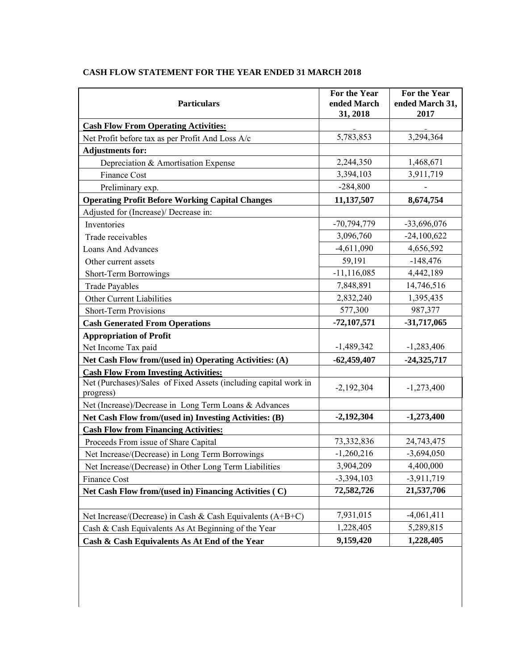| <b>Particulars</b>                                                            | For the Year<br>ended March | For the Year<br>ended March 31, |
|-------------------------------------------------------------------------------|-----------------------------|---------------------------------|
|                                                                               | 31, 2018                    | 2017                            |
| <b>Cash Flow From Operating Activities:</b>                                   |                             |                                 |
| Net Profit before tax as per Profit And Loss A/c                              | 5,783,853                   | 3,294,364                       |
| <b>Adjustments for:</b>                                                       |                             |                                 |
| Depreciation & Amortisation Expense                                           | 2,244,350                   | 1,468,671                       |
| Finance Cost                                                                  | 3,394,103                   | 3,911,719                       |
| Preliminary exp.                                                              | $-284,800$                  |                                 |
| <b>Operating Profit Before Working Capital Changes</b>                        | 11,137,507                  | 8,674,754                       |
| Adjusted for (Increase)/ Decrease in:                                         |                             |                                 |
| Inventories                                                                   | $-70,794,779$               | -33,696,076                     |
| Trade receivables                                                             | 3,096,760                   | $-24,100,622$                   |
| <b>Loans And Advances</b>                                                     | $-4,611,090$                | 4,656,592                       |
| Other current assets                                                          | 59,191                      | $-148,476$                      |
| Short-Term Borrowings                                                         | $-11, 116, 085$             | 4,442,189                       |
| <b>Trade Payables</b>                                                         | 7,848,891                   | 14,746,516                      |
| Other Current Liabilities                                                     | 2,832,240                   | 1,395,435                       |
| <b>Short-Term Provisions</b>                                                  | 577,300                     | 987,377                         |
| <b>Cash Generated From Operations</b>                                         | $-72,107,571$               | $-31,717,065$                   |
| <b>Appropriation of Profit</b>                                                |                             |                                 |
| Net Income Tax paid                                                           | $-1,489,342$                | $-1,283,406$                    |
| Net Cash Flow from/(used in) Operating Activities: (A)                        | $-62,459,407$               | $-24,325,717$                   |
| <b>Cash Flow From Investing Activities:</b>                                   |                             |                                 |
| Net (Purchases)/Sales of Fixed Assets (including capital work in<br>progress) | $-2,192,304$                | $-1,273,400$                    |
| Net (Increase)/Decrease in Long Term Loans & Advances                         |                             |                                 |
| Net Cash Flow from/(used in) Investing Activities: (B)                        | $-2,192,304$                | $-1,273,400$                    |
| <b>Cash Flow from Financing Activities:</b>                                   |                             |                                 |
| Proceeds From issue of Share Capital                                          | 73,332,836                  | 24,743,475                      |
| Net Increase/(Decrease) in Long Term Borrowings                               | $-1,260,216$                | $-3,694,050$                    |
| Net Increase/(Decrease) in Other Long Term Liabilities                        | 3,904,209                   | 4,400,000                       |
| Finance Cost                                                                  | $-3,394,103$                | $-3,911,719$                    |
| Net Cash Flow from/(used in) Financing Activities (C)                         | 72,582,726                  | 21,537,706                      |
|                                                                               |                             |                                 |
| Net Increase/(Decrease) in Cash & Cash Equivalents (A+B+C)                    | 7,931,015                   | $-4,061,411$                    |
| Cash & Cash Equivalents As At Beginning of the Year                           | 1,228,405                   | 5,289,815                       |
| Cash & Cash Equivalents As At End of the Year                                 | 9,159,420                   | 1,228,405                       |

## **CASH FLOW STATEMENT FOR THE YEAR ENDED 31 MARCH 2018**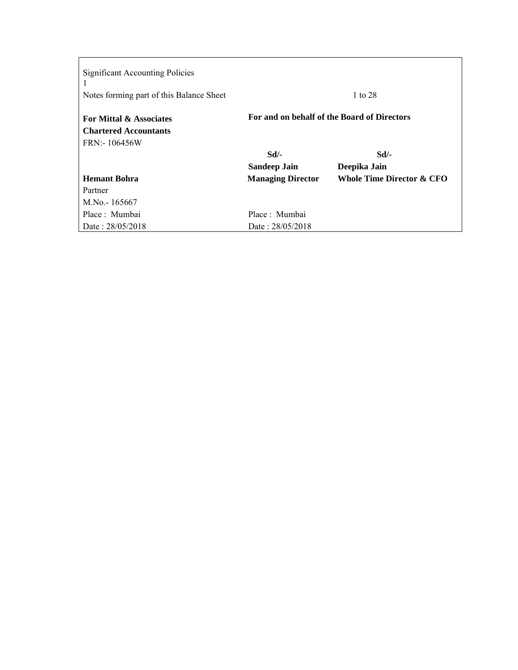| <b>Significant Accounting Policies</b><br>Notes forming part of this Balance Sheet |                                             | 1 to 28                              |
|------------------------------------------------------------------------------------|---------------------------------------------|--------------------------------------|
| For Mittal & Associates                                                            | For and on behalf of the Board of Directors |                                      |
| <b>Chartered Accountants</b>                                                       |                                             |                                      |
| FRN: 106456W                                                                       |                                             |                                      |
|                                                                                    | Sd                                          | $Sd$ /-                              |
|                                                                                    | <b>Sandeep Jain</b>                         | Deepika Jain                         |
| <b>Hemant Bohra</b>                                                                | <b>Managing Director</b>                    | <b>Whole Time Director &amp; CFO</b> |
| Partner                                                                            |                                             |                                      |
| M.No. - 165667                                                                     |                                             |                                      |
| Place: Mumbai                                                                      | Place : Mumbai                              |                                      |
| Date: 28/05/2018                                                                   | Date: 28/05/2018                            |                                      |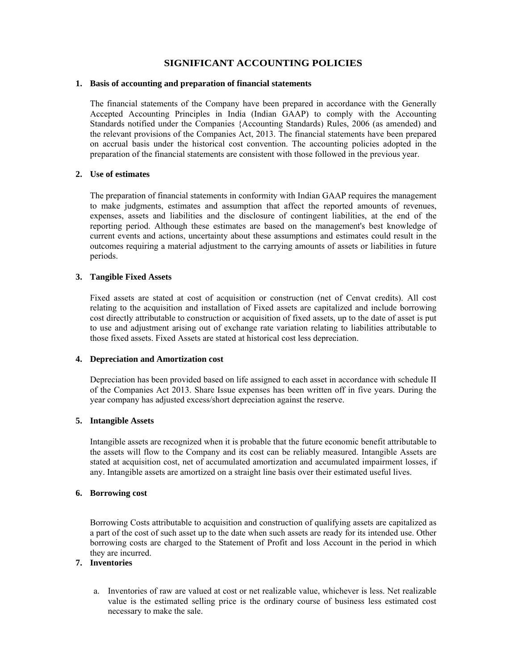## **SIGNIFICANT ACCOUNTING POLICIES**

#### **1. Basis of accounting and preparation of financial statements**

The financial statements of the Company have been prepared in accordance with the Generally Accepted Accounting Principles in India (Indian GAAP) to comply with the Accounting Standards notified under the Companies {Accounting Standards) Rules, 2006 (as amended) and the relevant provisions of the Companies Act, 2013. The financial statements have been prepared on accrual basis under the historical cost convention. The accounting policies adopted in the preparation of the financial statements are consistent with those followed in the previous year.

#### **2. Use of estimates**

The preparation of financial statements in conformity with Indian GAAP requires the management to make judgments, estimates and assumption that affect the reported amounts of revenues, expenses, assets and liabilities and the disclosure of contingent liabilities, at the end of the reporting period. Although these estimates are based on the management's best knowledge of current events and actions, uncertainty about these assumptions and estimates could result in the outcomes requiring a material adjustment to the carrying amounts of assets or liabilities in future periods.

#### **3. Tangible Fixed Assets**

Fixed assets are stated at cost of acquisition or construction (net of Cenvat credits). All cost relating to the acquisition and installation of Fixed assets are capitalized and include borrowing cost directly attributable to construction or acquisition of fixed assets, up to the date of asset is put to use and adjustment arising out of exchange rate variation relating to liabilities attributable to those fixed assets. Fixed Assets are stated at historical cost less depreciation.

#### **4. Depreciation and Amortization cost**

Depreciation has been provided based on life assigned to each asset in accordance with schedule II of the Companies Act 2013. Share Issue expenses has been written off in five years. During the year company has adjusted excess/short depreciation against the reserve.

#### **5. Intangible Assets**

Intangible assets are recognized when it is probable that the future economic benefit attributable to the assets will flow to the Company and its cost can be reliably measured. Intangible Assets are stated at acquisition cost, net of accumulated amortization and accumulated impairment losses, if any. Intangible assets are amortized on a straight line basis over their estimated useful lives.

#### **6. Borrowing cost**

Borrowing Costs attributable to acquisition and construction of qualifying assets are capitalized as a part of the cost of such asset up to the date when such assets are ready for its intended use. Other borrowing costs are charged to the Statement of Profit and loss Account in the period in which they are incurred.

## **7. Inventories**

a. Inventories of raw are valued at cost or net realizable value, whichever is less. Net realizable value is the estimated selling price is the ordinary course of business less estimated cost necessary to make the sale.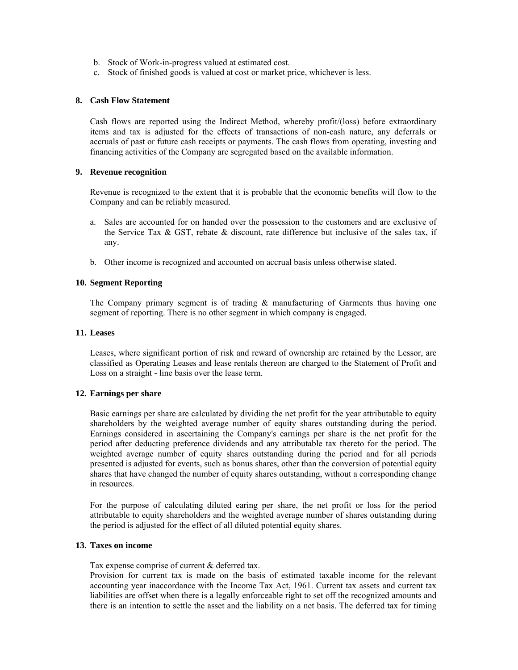- b. Stock of Work-in-progress valued at estimated cost.
- c. Stock of finished goods is valued at cost or market price, whichever is less.

#### **8. Cash Flow Statement**

Cash flows are reported using the Indirect Method, whereby profit/(loss) before extraordinary items and tax is adjusted for the effects of transactions of non-cash nature, any deferrals or accruals of past or future cash receipts or payments. The cash flows from operating, investing and financing activities of the Company are segregated based on the available information.

#### **9. Revenue recognition**

Revenue is recognized to the extent that it is probable that the economic benefits will flow to the Company and can be reliably measured.

- a. Sales are accounted for on handed over the possession to the customers and are exclusive of the Service Tax  $\&$  GST, rebate  $\&$  discount, rate difference but inclusive of the sales tax, if any.
- b. Other income is recognized and accounted on accrual basis unless otherwise stated.

#### **10. Segment Reporting**

The Company primary segment is of trading  $\&$  manufacturing of Garments thus having one segment of reporting. There is no other segment in which company is engaged.

#### **11. Leases**

Leases, where significant portion of risk and reward of ownership are retained by the Lessor, are classified as Operating Leases and lease rentals thereon are charged to the Statement of Profit and Loss on a straight - line basis over the lease term.

#### **12. Earnings per share**

Basic earnings per share are calculated by dividing the net profit for the year attributable to equity shareholders by the weighted average number of equity shares outstanding during the period. Earnings considered in ascertaining the Company's earnings per share is the net profit for the period after deducting preference dividends and any attributable tax thereto for the period. The weighted average number of equity shares outstanding during the period and for all periods presented is adjusted for events, such as bonus shares, other than the conversion of potential equity shares that have changed the number of equity shares outstanding, without a corresponding change in resources.

For the purpose of calculating diluted earing per share, the net profit or loss for the period attributable to equity shareholders and the weighted average number of shares outstanding during the period is adjusted for the effect of all diluted potential equity shares.

#### **13. Taxes on income**

Tax expense comprise of current & deferred tax.

Provision for current tax is made on the basis of estimated taxable income for the relevant accounting year inaccordance with the Income Tax Act, 1961. Current tax assets and current tax liabilities are offset when there is a legally enforceable right to set off the recognized amounts and there is an intention to settle the asset and the liability on a net basis. The deferred tax for timing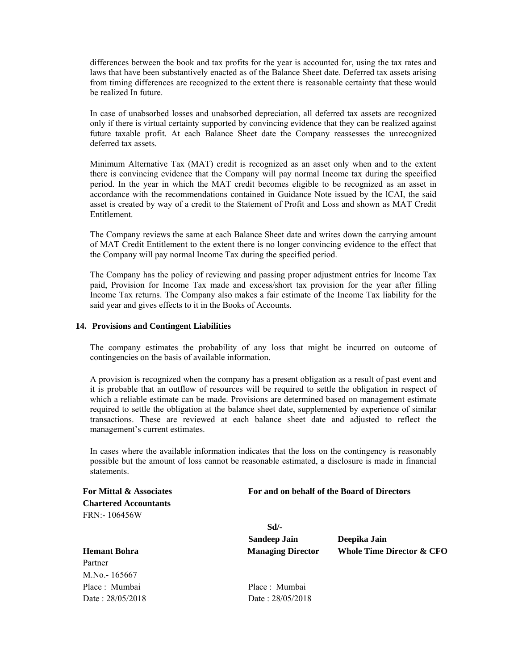differences between the book and tax profits for the year is accounted for, using the tax rates and laws that have been substantively enacted as of the Balance Sheet date. Deferred tax assets arising from timing differences are recognized to the extent there is reasonable certainty that these would be realized In future.

In case of unabsorbed losses and unabsorbed depreciation, all deferred tax assets are recognized only if there is virtual certainty supported by convincing evidence that they can be realized against future taxable profit. At each Balance Sheet date the Company reassesses the unrecognized deferred tax assets.

Minimum Alternative Tax (MAT) credit is recognized as an asset only when and to the extent there is convincing evidence that the Company will pay normal Income tax during the specified period. In the year in which the MAT credit becomes eligible to be recognized as an asset in accordance with the recommendations contained in Guidance Note issued by the lCAI, the said asset is created by way of a credit to the Statement of Profit and Loss and shown as MAT Credit Entitlement.

The Company reviews the same at each Balance Sheet date and writes down the carrying amount of MAT Credit Entitlement to the extent there is no longer convincing evidence to the effect that the Company will pay normal Income Tax during the specified period.

The Company has the policy of reviewing and passing proper adjustment entries for Income Tax paid, Provision for Income Tax made and excess/short tax provision for the year after filling Income Tax returns. The Company also makes a fair estimate of the Income Tax liability for the said year and gives effects to it in the Books of Accounts.

#### **14. Provisions and Contingent Liabilities**

The company estimates the probability of any loss that might be incurred on outcome of contingencies on the basis of available information.

A provision is recognized when the company has a present obligation as a result of past event and it is probable that an outflow of resources will be required to settle the obligation in respect of which a reliable estimate can be made. Provisions are determined based on management estimate required to settle the obligation at the balance sheet date, supplemented by experience of similar transactions. These are reviewed at each balance sheet date and adjusted to reflect the management's current estimates.

In cases where the available information indicates that the loss on the contingency is reasonably possible but the amount of loss cannot be reasonable estimated, a disclosure is made in financial statements.

**Chartered Accountants**  FRN:- 106456W

Partner

M.No.- 165667

**For Mittal & Associates For and on behalf of the Board of Directors** 

**Sandeep Jain Deepika Jain Hemant Bohra Managing Director Whole Time Director & CFO** 

Place : Mumbai Place : Mumbai Date : 28/05/2018 Date : 28/05/2018

 **Sd/-**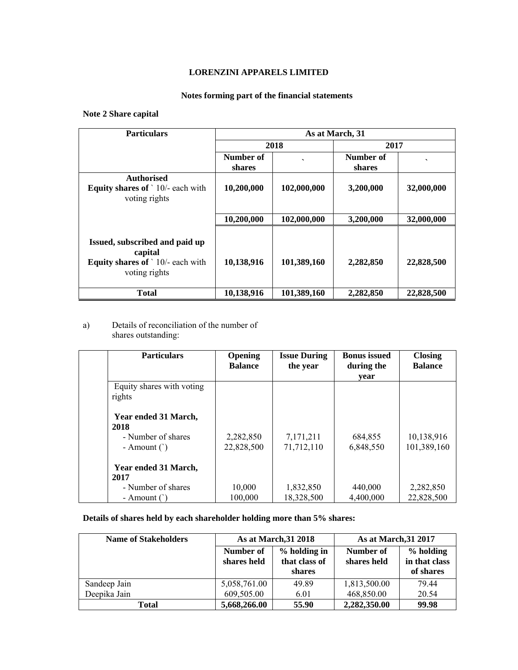## **LORENZINI APPARELS LIMITED**

## **Notes forming part of the financial statements**

## **Note 2 Share capital**

| <b>Particulars</b>                                                                             | As at March, 31 |             |           |            |
|------------------------------------------------------------------------------------------------|-----------------|-------------|-----------|------------|
|                                                                                                |                 | 2018        | 2017      |            |
|                                                                                                | Number of       |             | Number of |            |
|                                                                                                | shares          |             | shares    |            |
| <b>Authorised</b><br><b>Equity shares of</b> $\cdot$ 10/- each with                            | 10,200,000      | 102,000,000 | 3,200,000 | 32,000,000 |
| voting rights                                                                                  |                 |             |           |            |
|                                                                                                | 10,200,000      | 102,000,000 | 3,200,000 | 32,000,000 |
|                                                                                                |                 |             |           |            |
| Issued, subscribed and paid up<br>capital<br>Equity shares of '10/- each with<br>voting rights | 10,138,916      | 101,389,160 | 2,282,850 | 22,828,500 |
| <b>Total</b>                                                                                   | 10,138,916      | 101,389,160 | 2,282,850 | 22,828,500 |

#### a) Details of reconciliation of the number of shares outstanding:

| <b>Particulars</b>        | Opening<br><b>Balance</b> | <b>Issue During</b><br>the year | <b>Bonus</b> issued<br>during the | <b>Closing</b><br><b>Balance</b> |
|---------------------------|---------------------------|---------------------------------|-----------------------------------|----------------------------------|
|                           |                           |                                 | year                              |                                  |
| Equity shares with voting |                           |                                 |                                   |                                  |
| rights                    |                           |                                 |                                   |                                  |
|                           |                           |                                 |                                   |                                  |
| Year ended 31 March,      |                           |                                 |                                   |                                  |
| 2018                      |                           |                                 |                                   |                                  |
| - Number of shares        | 2,282,850                 | 7,171,211                       | 684,855                           | 10,138,916                       |
| - Amount $($ )            | 22,828,500                | 71,712,110                      | 6,848,550                         | 101,389,160                      |
|                           |                           |                                 |                                   |                                  |
| Year ended 31 March,      |                           |                                 |                                   |                                  |
| 2017                      |                           |                                 |                                   |                                  |
| - Number of shares        | 10,000                    | 1,832,850                       | 440,000                           | 2,282,850                        |
| - Amount $( )$            | 100,000                   | 18,328,500                      | 4,400,000                         | 22,828,500                       |

## **Details of shares held by each shareholder holding more than 5% shares:**

| <b>Name of Stakeholders</b> |                          | As at March, 31 2018                    | As at March, 31 2017     |                                         |
|-----------------------------|--------------------------|-----------------------------------------|--------------------------|-----------------------------------------|
|                             | Number of<br>shares held | % holding in<br>that class of<br>shares | Number of<br>shares held | % holding<br>in that class<br>of shares |
| Sandeep Jain                | 5,058,761.00             | 49.89                                   | 1,813,500.00             | 79.44                                   |
| Deepika Jain                | 609,505.00               | 6.01                                    | 468,850.00               | 20.54                                   |
| Total                       | 5,668,266.00             | 55.90                                   | 2,282,350.00             | 99.98                                   |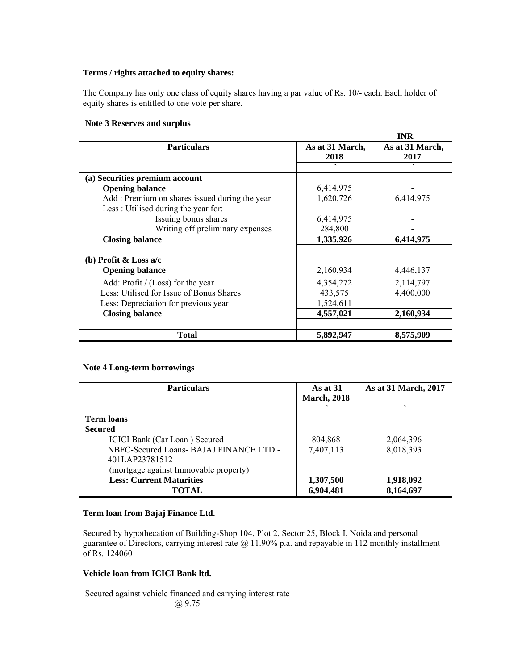#### **Terms / rights attached to equity shares:**

The Company has only one class of equity shares having a par value of Rs. 10/- each. Each holder of equity shares is entitled to one vote per share.

#### **Note 3 Reserves and surplus**

|                                               |                         | <b>INR</b>              |
|-----------------------------------------------|-------------------------|-------------------------|
| <b>Particulars</b>                            | As at 31 March,<br>2018 | As at 31 March,<br>2017 |
|                                               | $\cdot$                 |                         |
| (a) Securities premium account                |                         |                         |
| <b>Opening balance</b>                        | 6,414,975               |                         |
| Add: Premium on shares issued during the year | 1,620,726               | 6,414,975               |
| Less: Utilised during the year for:           |                         |                         |
| Issuing bonus shares                          | 6,414,975               |                         |
| Writing off preliminary expenses              | 284,800                 |                         |
| <b>Closing balance</b>                        | 1,335,926               | 6,414,975               |
| (b) Profit & Loss $a/c$                       |                         |                         |
| <b>Opening balance</b>                        | 2,160,934               | 4,446,137               |
| Add: Profit / (Loss) for the year             | 4,354,272               | 2,114,797               |
| Less: Utilised for Issue of Bonus Shares      | 433,575                 | 4,400,000               |
| Less: Depreciation for previous year          | 1,524,611               |                         |
| <b>Closing balance</b>                        | 4,557,021               | 2,160,934               |
| <b>Total</b>                                  | 5,892,947               | 8,575,909               |

#### **Note 4 Long-term borrowings**

| <b>Particulars</b>                      | As at $31$<br><b>March, 2018</b> | As at 31 March, 2017 |
|-----------------------------------------|----------------------------------|----------------------|
|                                         |                                  |                      |
| <b>Term loans</b>                       |                                  |                      |
| <b>Secured</b>                          |                                  |                      |
| ICICI Bank (Car Loan) Secured           | 804,868                          | 2,064,396            |
| NBFC-Secured Loans- BAJAJ FINANCE LTD - | 7,407,113                        | 8,018,393            |
| 401LAP23781512                          |                                  |                      |
| (mortgage against Immovable property)   |                                  |                      |
| <b>Less: Current Maturities</b>         | 1,307,500                        | 1,918,092            |
| <b>TOTAL</b>                            | 6,904,481                        | 8,164,697            |

#### **Term loan from Bajaj Finance Ltd.**

Secured by hypothecation of Building-Shop 104, Plot 2, Sector 25, Block I, Noida and personal guarantee of Directors, carrying interest rate @ 11.90% p.a. and repayable in 112 monthly installment of Rs. 124060

#### **Vehicle loan from ICICI Bank ltd.**

Secured against vehicle financed and carrying interest rate @ 9.75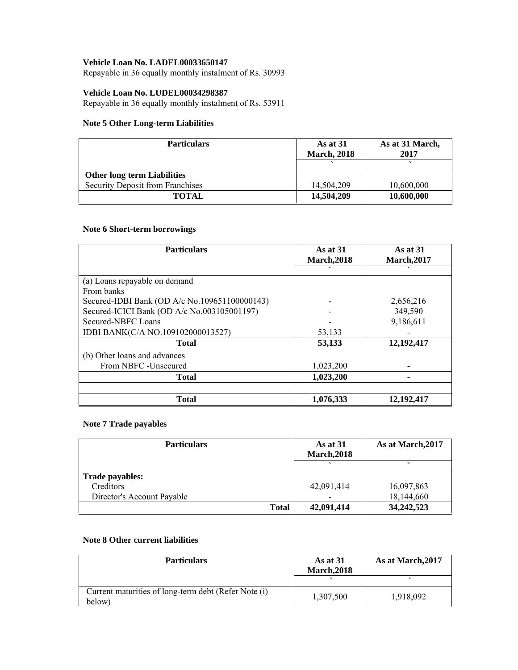#### **Vehicle Loan No. LADEL00033650147**

Repayable in 36 equally monthly instalment of Rs. 30993

#### **Vehicle Loan No. LUDEL00034298387**

Repayable in 36 equally monthly instalment of Rs. 53911

#### **Note 5 Other Long-term Liabilities**

| <b>Particulars</b>                 | As at $31$<br><b>March, 2018</b> | As at 31 March,<br>2017 |
|------------------------------------|----------------------------------|-------------------------|
|                                    |                                  |                         |
| <b>Other long term Liabilities</b> |                                  |                         |
| Security Deposit from Franchises   | 14.504.209                       | 10,600,000              |
| <b>TOTAL</b>                       | 14,504,209                       | 10,600,000              |

## **Note 6 Short-term borrowings**

| <b>Particulars</b>                            | As at $31$<br><b>March, 2018</b> | As at 31<br><b>March, 2017</b> |
|-----------------------------------------------|----------------------------------|--------------------------------|
|                                               |                                  |                                |
| (a) Loans repayable on demand                 |                                  |                                |
| From banks                                    |                                  |                                |
| Secured-IDBI Bank (OD A/c No.109651100000143) |                                  | 2,656,216                      |
| Secured-ICICI Bank (OD A/c No.003105001197)   |                                  | 349,590                        |
| Secured-NBFC Loans                            |                                  | 9,186,611                      |
| IDBI BANK(C/A NO.109102000013527)             | 53,133                           |                                |
| <b>Total</b>                                  | 53,133                           | 12,192,417                     |
| (b) Other loans and advances                  |                                  |                                |
| From NBFC - Unsecured                         | 1,023,200                        |                                |
| <b>Total</b>                                  | 1,023,200                        |                                |
|                                               |                                  |                                |
| <b>Total</b>                                  | 1,076,333                        | 12, 192, 417                   |

## **Note 7 Trade payables**

| <b>Particulars</b>         | As at $31$<br><b>March, 2018</b> | As at March, 2017 |
|----------------------------|----------------------------------|-------------------|
|                            |                                  |                   |
| <b>Trade payables:</b>     |                                  |                   |
| Creditors                  | 42,091,414                       | 16,097,863        |
| Director's Account Payable |                                  | 18,144,660        |
| <b>Total</b>               | 42,091,414                       | 34, 242, 523      |

## **Note 8 Other current liabilities**

| <b>Particulars</b>                                             | As at 31<br><b>March.2018</b> | As at March, 2017 |
|----------------------------------------------------------------|-------------------------------|-------------------|
|                                                                |                               |                   |
| Current maturities of long-term debt (Refer Note (i)<br>below) | 1,307,500                     | 1,918,092         |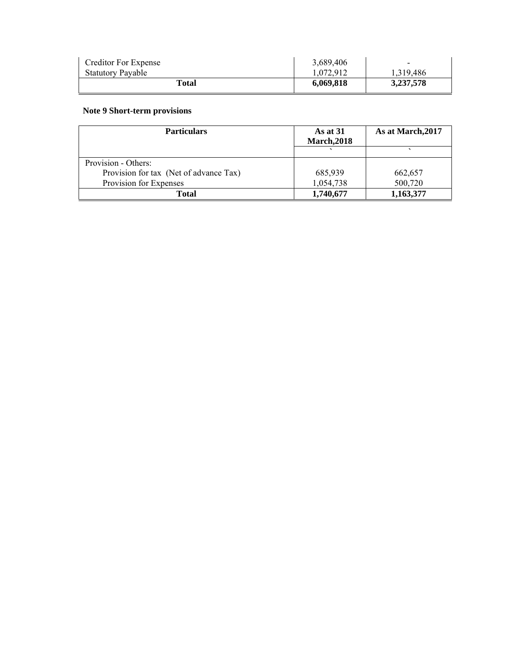| Creditor For Expense     | 3,689,406 |           |
|--------------------------|-----------|-----------|
| <b>Statutory Payable</b> | 1.072.912 | 1.319.486 |
| Total                    | 6.069.818 | 3,237,578 |

## **Note 9 Short-term provisions**

| <b>Particulars</b>                     | As at 31<br><b>March, 2018</b> | As at March, 2017 |
|----------------------------------------|--------------------------------|-------------------|
|                                        |                                |                   |
| Provision - Others:                    |                                |                   |
| Provision for tax (Net of advance Tax) | 685,939                        | 662,657           |
| Provision for Expenses                 | 1,054,738                      | 500,720           |
| Total                                  | 1,740,677                      | 1,163,377         |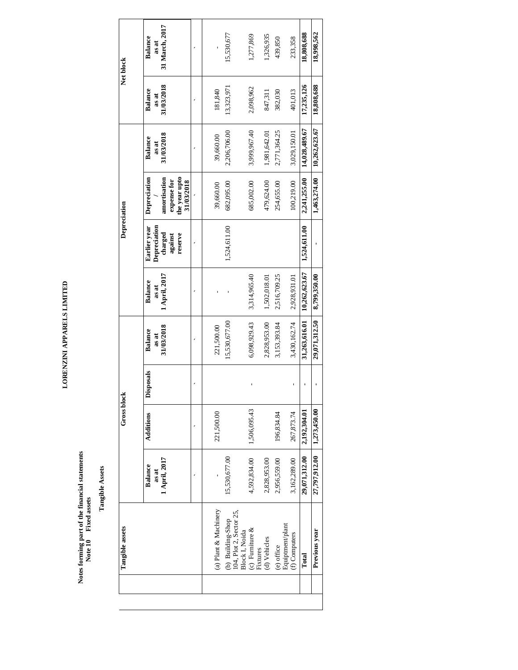LORENZINI APPARELS LIMITED **LORENZINI APPARELS LIMITED** 

> Notes forming part of the financial statements<br>Note 10 Fixed assets **Notes forming part of the financial statements Note 10 Fixed assets**

**Tangible Assets Tangible Assets** 

|               | Tangible assets                                                 |                                          | Gross block  |                  |                                       |                                   | Depreciation                                                  |                                                                            |                                       |                                       | Net block                                 |
|---------------|-----------------------------------------------------------------|------------------------------------------|--------------|------------------|---------------------------------------|-----------------------------------|---------------------------------------------------------------|----------------------------------------------------------------------------|---------------------------------------|---------------------------------------|-------------------------------------------|
|               |                                                                 | 1 April, 2017<br><b>Balance</b><br>as at | Additions    | <b>Disposals</b> | 31/03/2018<br><b>Balance</b><br>as at | 1 April, 2017<br>Balance<br>as at | Depreciation<br>Earlier year<br>charged<br>reserve<br>against | the year upto<br>Depreciation<br>amortisation<br>expense for<br>31/03/2018 | 31/03/2018<br><b>Balance</b><br>as at | 31/03/2018<br><b>Balance</b><br>as at | 31 March, 2017<br><b>Balance</b><br>as at |
|               |                                                                 |                                          |              |                  |                                       |                                   |                                                               |                                                                            |                                       |                                       |                                           |
|               | (a) Plant & Machinery                                           |                                          | 221,500.00   |                  | 221,500.00                            |                                   |                                                               | 39,660.00                                                                  | 39,660.00                             | 181,840                               |                                           |
|               | (b) Building-Shop                                               | 15,530,677.00                            |              |                  | 15,530,677.00                         |                                   | 1,524,611.00                                                  | 682,095.00                                                                 | 2,206,706.00                          | 13,323,971                            | 15,530,677                                |
|               | 104, Plot 2, Sector 25,<br>Block I, Noida<br>(c) Furniture $\&$ |                                          |              |                  |                                       |                                   |                                                               |                                                                            |                                       |                                       |                                           |
| Fixtures      |                                                                 | 4,592,834.00                             | 1,506,095.43 |                  | 6,098,929.43                          | 3,314,965.40                      |                                                               | 685,002.00                                                                 | 3,999,967.40                          | 2,098,962                             | 1,277,869                                 |
| (d) Vehicles  |                                                                 | 2,828,953.00                             |              |                  | 2,828,953.00                          | 1,502,018.01                      |                                                               | 479,624.00                                                                 | 1,981,642.01                          | 847,311                               | 1,326,935                                 |
| (e) office    | Equiptment/plant                                                | 2,956,559.00                             | 196,834.84   |                  | 3,153,393.84                          | 2,516,709.25                      |                                                               | 254,655.00                                                                 | 2,771,364.25                          | 382,030                               | 439,850                                   |
| (f) Computers |                                                                 | 3,162,289.00                             | 267,873.74   |                  | 3,430,162.74                          | 2,928,931.01                      |                                                               | 100,219.00                                                                 | 3,029,150.01                          | 401,013                               | 233,358                                   |
| Total         |                                                                 | 29,071,312.00                            | 2,192,304.01 |                  | 31,263,616.01                         | 10,262,623.67                     | 1,524,611.00                                                  | 2,241,255.00                                                               | 14,028,489.67                         | 17,235,126                            | 18,808,688                                |
|               | Previous year                                                   | 27,797,912.00                            | 1,273,450.00 |                  | 29,071,312.50                         | 8,799,350.00                      |                                                               | 1,463,274.00                                                               | 10,262,623.67                         | 18,808,688                            | 18,998,562                                |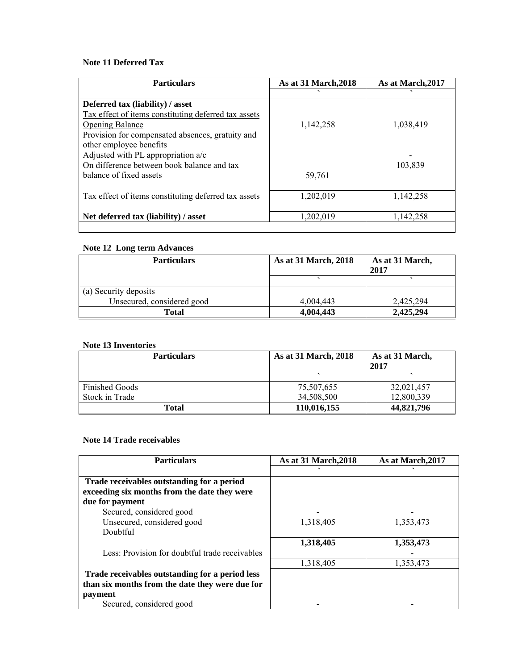## **Note 11 Deferred Tax**

| <b>Particulars</b>                                   | As at 31 March, 2018 | As at March, 2017 |
|------------------------------------------------------|----------------------|-------------------|
|                                                      |                      |                   |
| Deferred tax (liability) / asset                     |                      |                   |
| Tax effect of items constituting deferred tax assets |                      |                   |
| <b>Opening Balance</b>                               | 1,142,258            | 1,038,419         |
| Provision for compensated absences, gratuity and     |                      |                   |
| other employee benefits                              |                      |                   |
| Adjusted with PL appropriation a/c                   |                      |                   |
| On difference between book balance and tax           |                      | 103,839           |
| balance of fixed assets                              | 59,761               |                   |
|                                                      |                      |                   |
| Tax effect of items constituting deferred tax assets | 1,202,019            | 1,142,258         |
|                                                      |                      |                   |
| Net deferred tax (liability) / asset                 | 1,202,019            | 1,142,258         |
|                                                      |                      |                   |

#### **Note 12 Long term Advances**

| <b>Particulars</b>         | As at 31 March, 2018 | As at 31 March,<br>2017 |
|----------------------------|----------------------|-------------------------|
|                            |                      |                         |
| (a) Security deposits      |                      |                         |
| Unsecured, considered good | 4,004,443            | 2,425,294               |
| Total                      | 4,004,443            | 2,425,294               |

#### **Note 13 Inventories**

| <b>Particulars</b>    | As at 31 March, 2018 | As at 31 March,<br>2017 |
|-----------------------|----------------------|-------------------------|
|                       |                      |                         |
| <b>Finished Goods</b> | 75,507,655           | 32,021,457              |
| Stock in Trade        | 34,508,500           | 12,800,339              |
| Total                 | 110,016,155          | 44,821,796              |

## **Note 14 Trade receivables**

| <b>Particulars</b>                              | <b>As at 31 March, 2018</b> | As at March, 2017 |
|-------------------------------------------------|-----------------------------|-------------------|
|                                                 |                             |                   |
| Trade receivables outstanding for a period      |                             |                   |
| exceeding six months from the date they were    |                             |                   |
| due for payment                                 |                             |                   |
| Secured, considered good                        |                             |                   |
| Unsecured, considered good                      | 1,318,405                   | 1,353,473         |
| Doubtful                                        |                             |                   |
|                                                 | 1,318,405                   | 1,353,473         |
| Less: Provision for doubtful trade receivables  |                             |                   |
|                                                 | 1,318,405                   | 1,353,473         |
| Trade receivables outstanding for a period less |                             |                   |
| than six months from the date they were due for |                             |                   |
| payment                                         |                             |                   |
| Secured, considered good                        |                             |                   |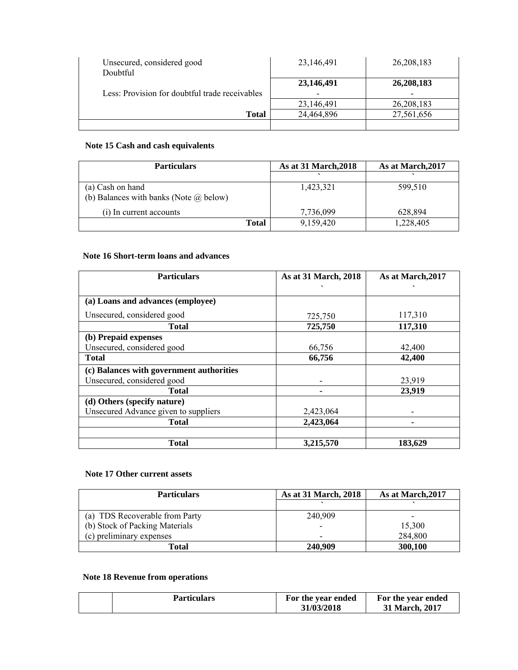| Unsecured, considered good<br>Doubtful         | 23,146,491                             | 26, 208, 183                           |
|------------------------------------------------|----------------------------------------|----------------------------------------|
| Less: Provision for doubtful trade receivables | 23,146,491<br>$\overline{\phantom{0}}$ | 26,208,183<br>$\overline{\phantom{0}}$ |
|                                                | 23,146,491                             | 26,208,183                             |
| Total                                          | 24,464,896                             | 27,561,656                             |
|                                                |                                        |                                        |

#### **Note 15 Cash and cash equivalents**

| <b>Particulars</b>                            | As at 31 March, 2018 | As at March, 2017 |
|-----------------------------------------------|----------------------|-------------------|
|                                               |                      |                   |
| (a) Cash on hand                              | 1,423,321            | 599,510           |
| (b) Balances with banks (Note $\omega$ below) |                      |                   |
| (i) In current accounts                       | 7,736,099            | 628,894           |
| <b>Total</b>                                  | 9,159,420            | 1,228,405         |

## **Note 16 Short-term loans and advances**

| <b>Particulars</b>                       | As at 31 March, 2018 | As at March, 2017 |
|------------------------------------------|----------------------|-------------------|
|                                          |                      |                   |
| (a) Loans and advances (employee)        |                      |                   |
| Unsecured, considered good               | 725,750              | 117,310           |
| <b>Total</b>                             | 725,750              | 117,310           |
| (b) Prepaid expenses                     |                      |                   |
| Unsecured, considered good               | 66,756               | 42,400            |
| <b>Total</b>                             | 66,756               | 42,400            |
| (c) Balances with government authorities |                      |                   |
| Unsecured, considered good               |                      | 23,919            |
| <b>Total</b>                             |                      | 23,919            |
| (d) Others (specify nature)              |                      |                   |
| Unsecured Advance given to suppliers     | 2,423,064            |                   |
| <b>Total</b>                             | 2,423,064            |                   |
|                                          |                      |                   |
| <b>Total</b>                             | 3,215,570            | 183,629           |

#### **Note 17 Other current assets**

| <b>Particulars</b>             | As at 31 March, 2018     | As at March, 2017        |
|--------------------------------|--------------------------|--------------------------|
|                                |                          |                          |
| (a) TDS Recoverable from Party | 240.909                  | $\overline{\phantom{0}}$ |
| (b) Stock of Packing Materials | $\overline{\phantom{a}}$ | 15,300                   |
| (c) preliminary expenses       | $\overline{\phantom{0}}$ | 284,800                  |
| Total                          | 240,909                  | 300,100                  |

## **Note 18 Revenue from operations**

| <b>Particulars</b> | For the year ended<br>31/03/2018 | For the year ended<br>31 March, 2017 |
|--------------------|----------------------------------|--------------------------------------|
|--------------------|----------------------------------|--------------------------------------|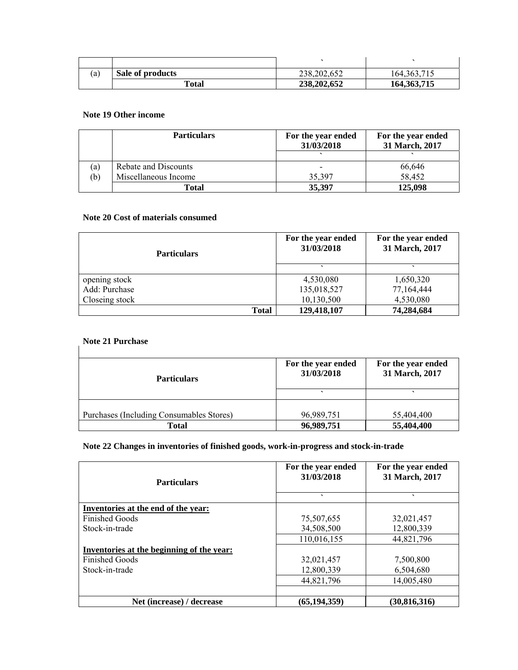| (a) | Sale of products | 238,202,652 | 164, 363, 715 |
|-----|------------------|-------------|---------------|
|     | Total            | 238,202,652 | 164, 363, 715 |

#### **Note 19 Other income**

|     | <b>Particulars</b>   | For the year ended<br>31/03/2018 | For the year ended<br>31 March, 2017 |
|-----|----------------------|----------------------------------|--------------------------------------|
|     |                      |                                  |                                      |
| (a) | Rebate and Discounts | $\overline{\phantom{0}}$         | 66,646                               |
| (b) | Miscellaneous Income | 35,397                           | 58,452                               |
|     | Total                | 35,397                           | 125,098                              |

#### **Note 20 Cost of materials consumed**

| <b>Particulars</b> | For the year ended<br>31/03/2018 | For the year ended<br>31 March, 2017 |
|--------------------|----------------------------------|--------------------------------------|
|                    |                                  |                                      |
| opening stock      | 4,530,080                        | 1,650,320                            |
| Add: Purchase      | 135,018,527                      | 77,164,444                           |
| Closeing stock     | 10,130,500                       | 4,530,080                            |
| Total              | 129,418,107                      | 74,284,684                           |

## **Note 21 Purchase**

| $1.000$ at 1 al chaoe                    |                                  |                                      |
|------------------------------------------|----------------------------------|--------------------------------------|
| <b>Particulars</b>                       | For the year ended<br>31/03/2018 | For the year ended<br>31 March, 2017 |
|                                          |                                  |                                      |
| Purchases (Including Consumables Stores) | 96,989,751                       | 55,404,400                           |
| Total                                    | 96,989,751                       | 55,404,400                           |

#### **Note 22 Changes in inventories of finished goods, work-in-progress and stock-in-trade**

| <b>Particulars</b>                        | For the year ended<br>31/03/2018 | For the year ended<br>31 March, 2017 |
|-------------------------------------------|----------------------------------|--------------------------------------|
|                                           | $\overline{\phantom{0}}$         | $\overline{\phantom{0}}$             |
| Inventories at the end of the year:       |                                  |                                      |
| <b>Finished Goods</b>                     | 75,507,655                       | 32,021,457                           |
| Stock-in-trade                            | 34,508,500                       | 12,800,339                           |
|                                           | 110,016,155                      | 44,821,796                           |
| Inventories at the beginning of the year: |                                  |                                      |
| <b>Finished Goods</b>                     | 32,021,457                       | 7,500,800                            |
| Stock-in-trade                            | 12,800,339                       | 6,504,680                            |
|                                           | 44,821,796                       | 14,005,480                           |
|                                           |                                  |                                      |
| Net (increase) / decrease                 | (65,194,359)                     | (30,816,316)                         |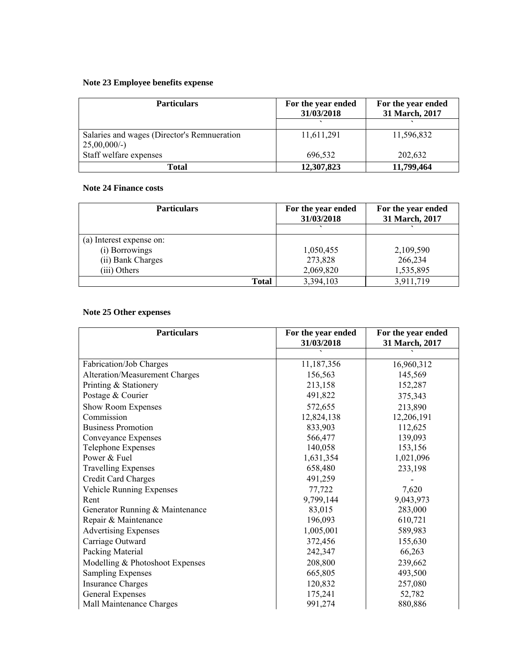## **Note 23 Employee benefits expense**

| <b>Particulars</b>                                             | For the year ended<br>31/03/2018 | For the year ended<br>31 March, 2017 |  |
|----------------------------------------------------------------|----------------------------------|--------------------------------------|--|
|                                                                |                                  |                                      |  |
| Salaries and wages (Director's Remnueration<br>$25,00,000/$ -) | 11,611,291                       | 11,596,832                           |  |
| Staff welfare expenses                                         | 696,532                          | 202,632                              |  |
| Total                                                          | 12,307,823                       | 11,799,464                           |  |

#### **Note 24 Finance costs**

| <b>Particulars</b>       | For the year ended<br>31/03/2018 | For the year ended<br>31 March, 2017 |
|--------------------------|----------------------------------|--------------------------------------|
|                          |                                  |                                      |
| (a) Interest expense on: |                                  |                                      |
| (i) Borrowings           | 1,050,455                        | 2,109,590                            |
| (ii) Bank Charges        | 273,828                          | 266,234                              |
| (iii) Others             | 2,069,820                        | 1,535,895                            |
| Total                    | 3,394,103                        | 3,911,719                            |

## **Note 25 Other expenses**

| <b>Particulars</b>              | For the year ended<br>31/03/2018 | For the year ended<br>31 March, 2017 |
|---------------------------------|----------------------------------|--------------------------------------|
|                                 |                                  |                                      |
| Fabrication/Job Charges         | 11,187,356                       | 16,960,312                           |
| Alteration/Measurement Charges  | 156,563                          | 145,569                              |
| Printing & Stationery           | 213,158                          | 152,287                              |
| Postage & Courier               | 491,822                          | 375,343                              |
| Show Room Expenses              | 572,655                          | 213,890                              |
| Commission                      | 12,824,138                       | 12,206,191                           |
| <b>Business Promotion</b>       | 833,903                          | 112,625                              |
| Conveyance Expenses             | 566,477                          | 139,093                              |
| Telephone Expenses              | 140,058                          | 153,156                              |
| Power & Fuel                    | 1,631,354                        | 1,021,096                            |
| <b>Travelling Expenses</b>      | 658,480                          | 233,198                              |
| Credit Card Charges             | 491,259                          |                                      |
| Vehicle Running Expenses        | 77,722                           | 7,620                                |
| Rent                            | 9,799,144                        | 9,043,973                            |
| Generator Running & Maintenance | 83,015                           | 283,000                              |
| Repair & Maintenance            | 196,093                          | 610,721                              |
| <b>Advertising Expenses</b>     | 1,005,001                        | 589,983                              |
| Carriage Outward                | 372,456                          | 155,630                              |
| Packing Material                | 242,347                          | 66,263                               |
| Modelling & Photoshoot Expenses | 208,800                          | 239,662                              |
| <b>Sampling Expenses</b>        | 665,805                          | 493,500                              |
| <b>Insurance Charges</b>        | 120,832                          | 257,080                              |
| General Expenses                | 175,241                          | 52,782                               |
| Mall Maintenance Charges        | 991,274                          | 880,886                              |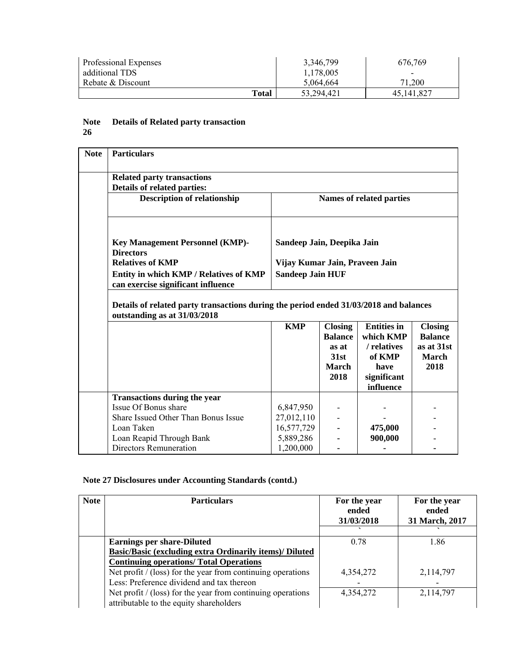| Professional Expenses | 3,346,799  | 676,769                  |
|-----------------------|------------|--------------------------|
| additional TDS        | 1,178,005  | $\overline{\phantom{0}}$ |
| Rebate & Discount     | 5.064.664  | 71.200                   |
| Total                 | 53,294,421 | 45,141,827               |

#### **Note 26 Details of Related party transaction**

| <b>Note</b> | <b>Particulars</b>                                                                                                                                                               |                            |  |         |                                                                 |
|-------------|----------------------------------------------------------------------------------------------------------------------------------------------------------------------------------|----------------------------|--|---------|-----------------------------------------------------------------|
|             | <b>Related party transactions</b><br>Details of related parties:                                                                                                                 |                            |  |         |                                                                 |
|             | <b>Description of relationship</b><br>Names of related parties                                                                                                                   |                            |  |         |                                                                 |
|             | <b>Key Management Personnel (KMP)-</b><br><b>Directors</b>                                                                                                                       | Sandeep Jain, Deepika Jain |  |         |                                                                 |
|             | <b>Relatives of KMP</b><br>Vijay Kumar Jain, Praveen Jain                                                                                                                        |                            |  |         |                                                                 |
|             | Entity in which KMP / Relatives of KMP<br>can exercise significant influence                                                                                                     | <b>Sandeep Jain HUF</b>    |  |         |                                                                 |
|             | Details of related party transactions during the period ended 31/03/2018 and balances<br>outstanding as at 31/03/2018                                                            |                            |  |         |                                                                 |
|             | <b>KMP</b><br><b>Closing</b><br><b>Entities in</b><br>which KMP<br><b>Balance</b><br>/ relatives<br>as at<br>of KMP<br>31st<br>March<br>have<br>2018<br>significant<br>influence |                            |  |         | <b>Closing</b><br><b>Balance</b><br>as at 31st<br>March<br>2018 |
|             | <b>Transactions during the year</b>                                                                                                                                              |                            |  |         |                                                                 |
|             | Issue Of Bonus share                                                                                                                                                             | 6,847,950                  |  |         |                                                                 |
|             | Share Issued Other Than Bonus Issue                                                                                                                                              | 27,012,110                 |  |         |                                                                 |
|             | Loan Taken                                                                                                                                                                       | 16,577,729                 |  | 475,000 |                                                                 |
|             | Loan Reapid Through Bank                                                                                                                                                         | 5,889,286                  |  | 900,000 |                                                                 |
|             | Directors Remuneration<br>1,200,000                                                                                                                                              |                            |  |         |                                                                 |

## **Note 27 Disclosures under Accounting Standards (contd.)**

| <b>Note</b> | <b>Particulars</b>                                                                                       | For the year<br>ended<br>31/03/2018 | For the year<br>ended<br>31 March, 2017 |
|-------------|----------------------------------------------------------------------------------------------------------|-------------------------------------|-----------------------------------------|
|             | <b>Earnings per share-Diluted</b>                                                                        | 0.78                                | 1.86                                    |
|             | Basic/Basic (excluding extra Ordinarily items)/ Diluted                                                  |                                     |                                         |
|             | <b>Continuing operations/ Total Operations</b>                                                           |                                     |                                         |
|             | Net profit $/(loss)$ for the year from continuing operations                                             | 4,354,272                           | 2,114,797                               |
|             | Less: Preference dividend and tax thereon                                                                |                                     |                                         |
|             | Net profit $/$ (loss) for the year from continuing operations<br>attributable to the equity shareholders | 4,354,272                           | 2,114,797                               |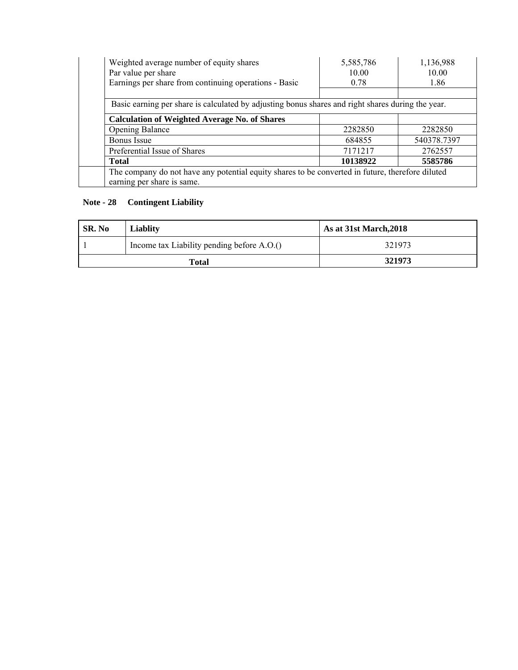| Weighted average number of equity shares                                                          | 5,585,786 | 1,136,988   |
|---------------------------------------------------------------------------------------------------|-----------|-------------|
| Par value per share                                                                               | 10.00     | 10.00       |
| Earnings per share from continuing operations - Basic                                             | 0.78      | 1.86        |
|                                                                                                   |           |             |
| Basic earning per share is calculated by adjusting bonus shares and right shares during the year. |           |             |
| <b>Calculation of Weighted Average No. of Shares</b>                                              |           |             |
| <b>Opening Balance</b>                                                                            | 2282850   | 2282850     |
| <b>Bonus</b> Issue                                                                                | 684855    | 540378.7397 |
| Preferential Issue of Shares                                                                      | 7171217   | 2762557     |
| <b>Total</b>                                                                                      | 10138922  | 5585786     |
| The company do not have any potential equity shares to be converted in future, therefore diluted  |           |             |
| earning per share is same.                                                                        |           |             |

## **Note - 28 Contingent Liability**

| SR. No<br>Liablity |                                            | As at 31st March, 2018 |  |
|--------------------|--------------------------------------------|------------------------|--|
|                    | Income tax Liability pending before A.O.() | 321973                 |  |
|                    | Total                                      | 321973                 |  |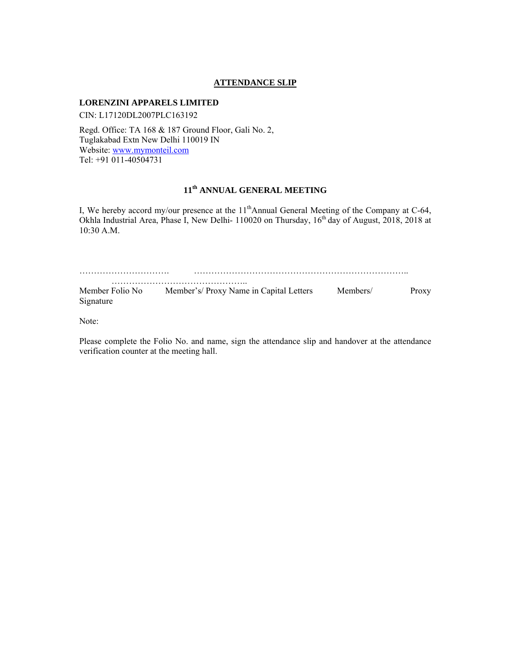#### **ATTENDANCE SLIP**

#### **LORENZINI APPARELS LIMITED**

CIN: L17120DL2007PLC163192

Regd. Office: TA 168 & 187 Ground Floor, Gali No. 2, Tuglakabad Extn New Delhi 110019 IN Website: www.mymonteil.com Tel: +91 011-40504731

## **11th ANNUAL GENERAL MEETING**

I, We hereby accord my/our presence at the 11<sup>th</sup>Annual General Meeting of the Company at C-64, Okhla Industrial Area, Phase I, New Delhi- 110020 on Thursday, 16<sup>th</sup> day of August, 2018, 2018 at 10:30 A.M.

| Member Folio No<br>Signature | Member's/Proxy Name in Capital Letters | Members/ | Proxy |
|------------------------------|----------------------------------------|----------|-------|

Note:

Please complete the Folio No. and name, sign the attendance slip and handover at the attendance verification counter at the meeting hall.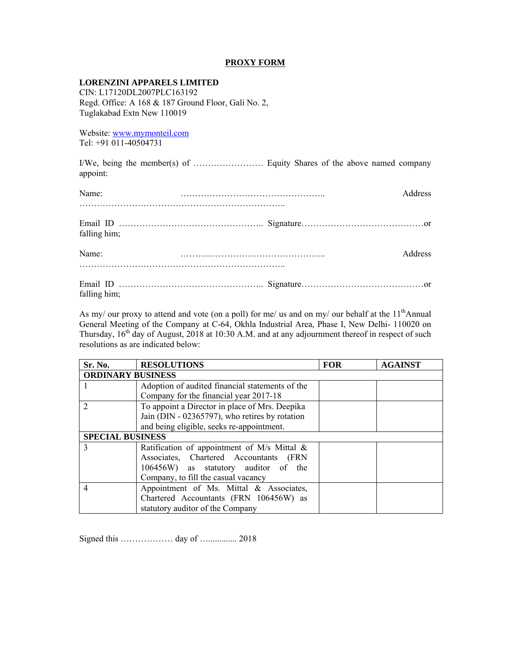#### **PROXY FORM**

#### **LORENZINI APPARELS LIMITED**

CIN: L17120DL2007PLC163192 Regd. Office: A 168 & 187 Ground Floor, Gali No. 2, Tuglakabad Extn New 110019

Website: www.mymonteil.com Tel: +91 011-40504731

I/We, being the member(s) of …………………… Equity Shares of the above named company appoint:

| Name:        | <b>Address</b> |
|--------------|----------------|
| falling him; |                |
| Name:        | <b>Address</b> |
| falling him; |                |

As my/ our proxy to attend and vote (on a poll) for me/ us and on my/ our behalf at the  $11<sup>th</sup>$ Annual General Meeting of the Company at C-64, Okhla Industrial Area, Phase I, New Delhi- 110020 on Thursday,  $16<sup>th</sup>$  day of August, 2018 at 10:30 A.M. and at any adjournment thereof in respect of such resolutions as are indicated below:

| Sr. No.                  | <b>RESOLUTIONS</b>                              | <b>FOR</b> | <b>AGAINST</b> |
|--------------------------|-------------------------------------------------|------------|----------------|
| <b>ORDINARY BUSINESS</b> |                                                 |            |                |
|                          | Adoption of audited financial statements of the |            |                |
|                          | Company for the financial year 2017-18          |            |                |
| $\mathfrak{D}$           | To appoint a Director in place of Mrs. Deepika  |            |                |
|                          | Jain (DIN - 02365797), who retires by rotation  |            |                |
|                          | and being eligible, seeks re-appointment.       |            |                |
| <b>SPECIAL BUSINESS</b>  |                                                 |            |                |
| 3                        | Ratification of appointment of M/s Mittal $\&$  |            |                |
|                          | Associates, Chartered Accountants (FRN          |            |                |
|                          | 106456W) as statutory auditor of the            |            |                |
|                          | Company, to fill the casual vacancy             |            |                |
| 4                        | Appointment of Ms. Mittal & Associates,         |            |                |
|                          | Chartered Accountants (FRN 106456W) as          |            |                |
|                          | statutory auditor of the Company                |            |                |

Signed this ……………… day of …............. 2018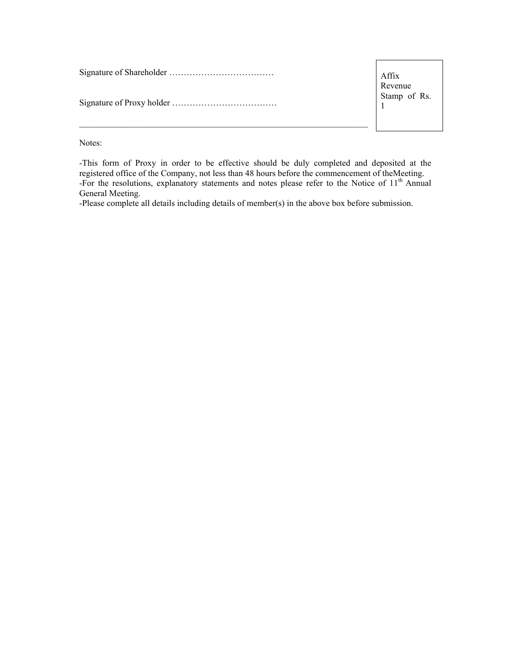Signature of Shareholder ……………………………… Signature of Proxy holder ………………………………

Affix Revenue Stamp of Rs. 1

Notes:

-This form of Proxy in order to be effective should be duly completed and deposited at the registered office of the Company, not less than 48 hours before the commencement of theMeeting. -For the resolutions, explanatory statements and notes please refer to the Notice of 11<sup>th</sup> Annual General Meeting.

-Please complete all details including details of member(s) in the above box before submission.

 $\_$  , and the set of the set of the set of the set of the set of the set of the set of the set of the set of the set of the set of the set of the set of the set of the set of the set of the set of the set of the set of th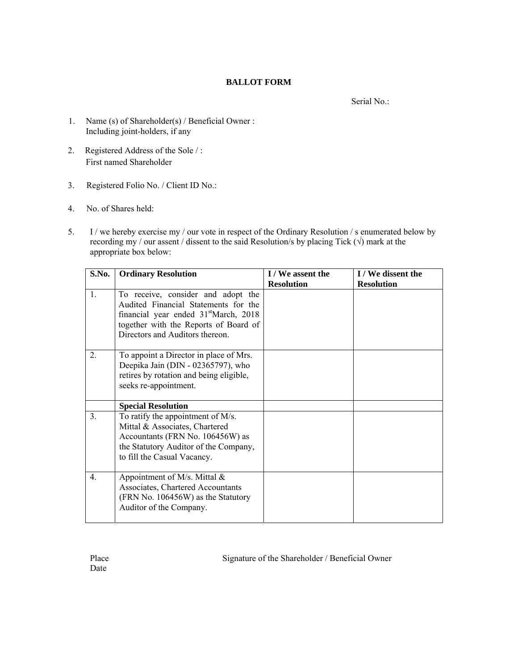#### **BALLOT FORM**

Serial No.:

- 1. Name (s) of Shareholder(s) / Beneficial Owner : Including joint-holders, if any
- 2. Registered Address of the Sole / : First named Shareholder
- 3. Registered Folio No. / Client ID No.:
- 4. No. of Shares held:
- 5. I / we hereby exercise my / our vote in respect of the Ordinary Resolution / s enumerated below by recording my / our assent / dissent to the said Resolution/s by placing Tick ( $\sqrt{ }$ ) mark at the appropriate box below:

| S.No.          | <b>Ordinary Resolution</b>                                                                                                                                                                                  | I / We assent the<br><b>Resolution</b> | I / We dissent the<br><b>Resolution</b> |
|----------------|-------------------------------------------------------------------------------------------------------------------------------------------------------------------------------------------------------------|----------------------------------------|-----------------------------------------|
| 1.             | To receive, consider and adopt the<br>Audited Financial Statements for the<br>financial year ended 31 <sup>st</sup> March, 2018<br>together with the Reports of Board of<br>Directors and Auditors thereon. |                                        |                                         |
| 2.             | To appoint a Director in place of Mrs.<br>Deepika Jain (DIN - 02365797), who<br>retires by rotation and being eligible,<br>seeks re-appointment.                                                            |                                        |                                         |
|                | <b>Special Resolution</b>                                                                                                                                                                                   |                                        |                                         |
| 3 <sub>1</sub> | To ratify the appointment of M/s.<br>Mittal & Associates, Chartered<br>Accountants (FRN No. 106456W) as<br>the Statutory Auditor of the Company,<br>to fill the Casual Vacancy.                             |                                        |                                         |
| 4.             | Appointment of M/s. Mittal $\&$<br>Associates, Chartered Accountants<br>(FRN No. 106456W) as the Statutory<br>Auditor of the Company.                                                                       |                                        |                                         |

Place Signature of the Shareholder / Beneficial Owner